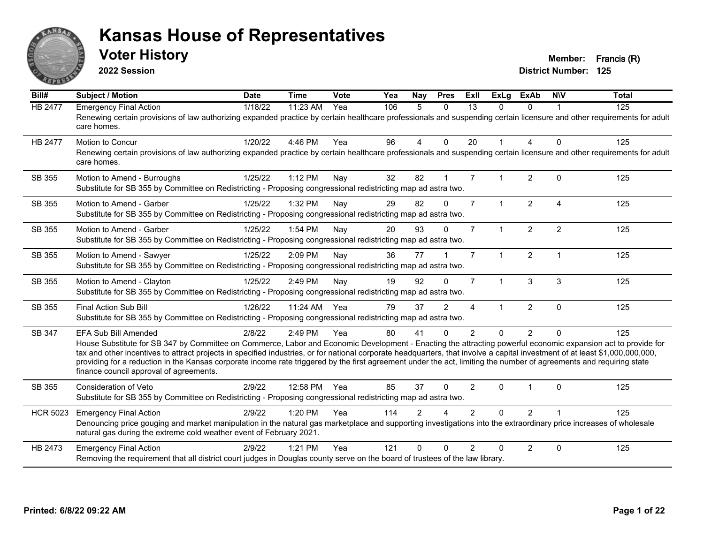

**2022 Session**

| Bill#           | <b>Subject / Motion</b>                                                                                                                                                                                                                                                                                                                                                                                                                                                                                                                                                                            | <b>Date</b> | <b>Time</b> | Vote | Yea | Nay            | <b>Pres</b>    | <b>Exll</b>    | <b>ExLg</b>  | <b>ExAb</b>    | <b>NIV</b>     | <b>Total</b> |
|-----------------|----------------------------------------------------------------------------------------------------------------------------------------------------------------------------------------------------------------------------------------------------------------------------------------------------------------------------------------------------------------------------------------------------------------------------------------------------------------------------------------------------------------------------------------------------------------------------------------------------|-------------|-------------|------|-----|----------------|----------------|----------------|--------------|----------------|----------------|--------------|
| HB 2477         | <b>Emergency Final Action</b><br>Renewing certain provisions of law authorizing expanded practice by certain healthcare professionals and suspending certain licensure and other requirements for adult<br>care homes.                                                                                                                                                                                                                                                                                                                                                                             | 1/18/22     | 11:23 AM    | Yea  | 106 | 5              | $\mathbf{0}$   | 13             | $\Omega$     | $\Omega$       |                | 125          |
| HB 2477         | <b>Motion to Concur</b><br>Renewing certain provisions of law authorizing expanded practice by certain healthcare professionals and suspending certain licensure and other requirements for adult<br>care homes.                                                                                                                                                                                                                                                                                                                                                                                   | 1/20/22     | 4:46 PM     | Yea  | 96  | 4              | $\Omega$       | 20             |              | $\overline{4}$ | $\Omega$       | 125          |
| SB 355          | Motion to Amend - Burroughs<br>Substitute for SB 355 by Committee on Redistricting - Proposing congressional redistricting map ad astra two.                                                                                                                                                                                                                                                                                                                                                                                                                                                       | 1/25/22     | 1:12 PM     | Nay  | 32  | 82             |                | $\overline{7}$ | 1            | $\overline{2}$ | $\mathbf{0}$   | 125          |
| SB 355          | Motion to Amend - Garber<br>Substitute for SB 355 by Committee on Redistricting - Proposing congressional redistricting map ad astra two.                                                                                                                                                                                                                                                                                                                                                                                                                                                          | 1/25/22     | 1:32 PM     | Nay  | 29  | 82             | $\Omega$       | $\overline{7}$ | $\mathbf{1}$ | $\overline{2}$ | $\overline{A}$ | 125          |
| SB 355          | Motion to Amend - Garber<br>Substitute for SB 355 by Committee on Redistricting - Proposing congressional redistricting map ad astra two.                                                                                                                                                                                                                                                                                                                                                                                                                                                          | 1/25/22     | 1:54 PM     | Nay  | 20  | 93             | $\Omega$       | $\overline{7}$ | $\mathbf{1}$ | $\overline{2}$ | $\overline{2}$ | 125          |
| SB 355          | Motion to Amend - Sawyer<br>Substitute for SB 355 by Committee on Redistricting - Proposing congressional redistricting map ad astra two.                                                                                                                                                                                                                                                                                                                                                                                                                                                          | 1/25/22     | 2:09 PM     | Nay  | 36  | 77             |                | $\overline{7}$ | 1            | $\overline{2}$ | -1             | 125          |
| SB 355          | Motion to Amend - Clayton<br>Substitute for SB 355 by Committee on Redistricting - Proposing congressional redistricting map ad astra two.                                                                                                                                                                                                                                                                                                                                                                                                                                                         | 1/25/22     | 2:49 PM     | Nay  | 19  | 92             | $\Omega$       | $\overline{7}$ | $\mathbf{1}$ | 3              | 3              | 125          |
| SB 355          | Final Action Sub Bill<br>Substitute for SB 355 by Committee on Redistricting - Proposing congressional redistricting map ad astra two.                                                                                                                                                                                                                                                                                                                                                                                                                                                             | 1/26/22     | 11:24 AM    | Yea  | 79  | 37             | $\overline{2}$ | 4              | $\mathbf{1}$ | $\overline{2}$ | $\mathbf 0$    | 125          |
| SB 347          | <b>EFA Sub Bill Amended</b><br>House Substitute for SB 347 by Committee on Commerce, Labor and Economic Development - Enacting the attracting powerful economic expansion act to provide for<br>tax and other incentives to attract projects in specified industries, or for national corporate headquarters, that involve a capital investment of at least \$1,000,000,000,000,<br>providing for a reduction in the Kansas corporate income rate triggered by the first agreement under the act, limiting the number of agreements and requiring state<br>finance council approval of agreements. | 2/8/22      | 2:49 PM     | Yea  | 80  | 41             | $\Omega$       | $\mathcal{P}$  | $\Omega$     | $\mathcal{P}$  | $\Omega$       | 125          |
| SB 355          | <b>Consideration of Veto</b><br>Substitute for SB 355 by Committee on Redistricting - Proposing congressional redistricting map ad astra two.                                                                                                                                                                                                                                                                                                                                                                                                                                                      | 2/9/22      | 12:58 PM    | Yea  | 85  | 37             | $\Omega$       | $\overline{2}$ | $\Omega$     |                | $\Omega$       | 125          |
| <b>HCR 5023</b> | <b>Emergency Final Action</b><br>Denouncing price gouging and market manipulation in the natural gas marketplace and supporting investigations into the extraordinary price increases of wholesale<br>natural gas during the extreme cold weather event of February 2021.                                                                                                                                                                                                                                                                                                                          | 2/9/22      | 1:20 PM     | Yea  | 114 | $\overline{2}$ | Δ              | $\overline{2}$ | $\Omega$     | $\overline{2}$ |                | 125          |
| HB 2473         | <b>Emergency Final Action</b><br>Removing the requirement that all district court judges in Douglas county serve on the board of trustees of the law library.                                                                                                                                                                                                                                                                                                                                                                                                                                      | 2/9/22      | $1:21$ PM   | Yea  | 121 | <sup>0</sup>   | $\Omega$       | $\overline{2}$ | $\Omega$     | $\overline{2}$ | $\mathbf 0$    | 125          |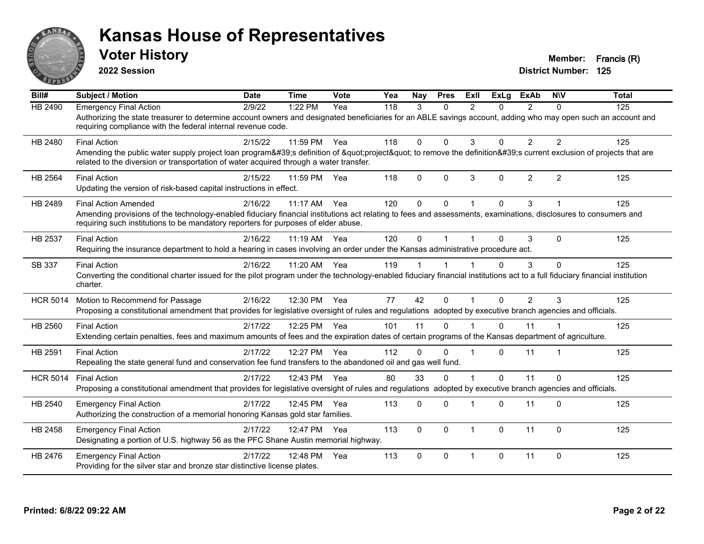

**2022 Session**

**District Number: 125 Voter History Member: Francis (R)** 

| Bill#           | <b>Subject / Motion</b>                                                                                                                                                                                                                                                              | <b>Date</b> | <b>Time</b> | Vote | Yea | <b>Nav</b>   | <b>Pres</b>  | Exll           | <b>ExLg</b> | <b>ExAb</b>    | <b>NIV</b>     | <b>Total</b> |
|-----------------|--------------------------------------------------------------------------------------------------------------------------------------------------------------------------------------------------------------------------------------------------------------------------------------|-------------|-------------|------|-----|--------------|--------------|----------------|-------------|----------------|----------------|--------------|
| HB 2490         | <b>Emergency Final Action</b><br>Authorizing the state treasurer to determine account owners and designated beneficiaries for an ABLE savings account, adding who may open such an account and<br>requiring compliance with the federal internal revenue code.                       | 2/9/22      | 1:22 PM     | Yea  | 118 | 3            | $\Omega$     | $\mathfrak{p}$ | $\Omega$    | $\mathcal{P}$  | $\Omega$       | 125          |
| HB 2480         | <b>Final Action</b><br>Amending the public water supply project loan program's definition of "project" to remove the definition's current exclusion of projects that are<br>related to the diversion or transportation of water acquired through a water transfer.                   | 2/15/22     | 11:59 PM    | Yea  | 118 | $\Omega$     | $\mathbf{0}$ | 3              | $\Omega$    | $\overline{2}$ | $\overline{2}$ | 125          |
| <b>HB 2564</b>  | <b>Final Action</b><br>Updating the version of risk-based capital instructions in effect.                                                                                                                                                                                            | 2/15/22     | 11:59 PM    | Yea  | 118 | $\Omega$     | $\Omega$     | 3              | $\Omega$    | $\overline{2}$ | 2              | 125          |
| HB 2489         | <b>Final Action Amended</b><br>Amending provisions of the technology-enabled fiduciary financial institutions act relating to fees and assessments, examinations, disclosures to consumers and<br>requiring such institutions to be mandatory reporters for purposes of elder abuse. | 2/16/22     | 11:17 AM    | Yea  | 120 | $\Omega$     | $\mathbf{0}$ | $\overline{1}$ | $\Omega$    | 3              |                | 125          |
| HB 2537         | <b>Final Action</b><br>Requiring the insurance department to hold a hearing in cases involving an order under the Kansas administrative procedure act.                                                                                                                               | 2/16/22     | 11:19 AM    | Yea  | 120 | $\Omega$     |              |                | $\Omega$    | 3              | $\Omega$       | 125          |
| SB 337          | <b>Final Action</b><br>Converting the conditional charter issued for the pilot program under the technology-enabled fiduciary financial institutions act to a full fiduciary financial institution<br>charter.                                                                       | 2/16/22     | 11:20 AM    | Yea  | 119 |              |              |                | U           | 3              | $\Omega$       | 125          |
| <b>HCR 5014</b> | Motion to Recommend for Passage<br>Proposing a constitutional amendment that provides for legislative oversight of rules and regulations adopted by executive branch agencies and officials.                                                                                         | 2/16/22     | 12:30 PM    | Yea  | 77  | 42           | $\Omega$     |                | 0           | 2              | 3              | 125          |
| HB 2560         | <b>Final Action</b><br>Extending certain penalties, fees and maximum amounts of fees and the expiration dates of certain programs of the Kansas department of agriculture.                                                                                                           | 2/17/22     | 12:25 PM    | Yea  | 101 | 11           | $\Omega$     |                | $\Omega$    | 11             |                | 125          |
| HB 2591         | <b>Final Action</b><br>Repealing the state general fund and conservation fee fund transfers to the abandoned oil and gas well fund.                                                                                                                                                  | 2/17/22     | 12:27 PM    | Yea  | 112 | $\Omega$     | $\Omega$     | -1             | 0           | 11             |                | 125          |
| <b>HCR 5014</b> | <b>Final Action</b><br>Proposing a constitutional amendment that provides for legislative oversight of rules and regulations adopted by executive branch agencies and officials.                                                                                                     | 2/17/22     | 12:43 PM    | Yea  | 80  | 33           | $\Omega$     |                | $\Omega$    | 11             | $\Omega$       | 125          |
| HB 2540         | <b>Emergency Final Action</b><br>Authorizing the construction of a memorial honoring Kansas gold star families.                                                                                                                                                                      | 2/17/22     | 12:45 PM    | Yea  | 113 | 0            | $\Omega$     |                | $\Omega$    | 11             | $\Omega$       | 125          |
| HB 2458         | <b>Emergency Final Action</b><br>Designating a portion of U.S. highway 56 as the PFC Shane Austin memorial highway.                                                                                                                                                                  | 2/17/22     | 12:47 PM    | Yea  | 113 | $\Omega$     | $\Omega$     | $\overline{1}$ | $\Omega$    | 11             | $\mathbf 0$    | 125          |
| HB 2476         | <b>Emergency Final Action</b><br>Providing for the silver star and bronze star distinctive license plates.                                                                                                                                                                           | 2/17/22     | 12:48 PM    | Yea  | 113 | $\mathbf{0}$ | $\Omega$     | $\overline{1}$ | 0           | 11             | $\Omega$       | 125          |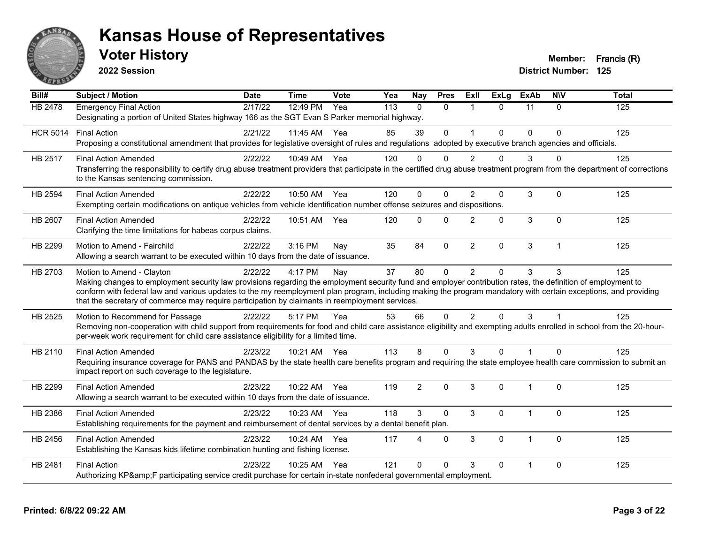

**2022 Session**

| Bill#           | <b>Subject / Motion</b>                                                                                                                                                                                                                                                                                                                                                                                                                                         | <b>Date</b> | <b>Time</b> | Vote | Yea | Nay            | <b>Pres</b>  | Exll           | <b>ExLg</b> | <b>ExAb</b>  | <b>NIV</b>     | <b>Total</b> |
|-----------------|-----------------------------------------------------------------------------------------------------------------------------------------------------------------------------------------------------------------------------------------------------------------------------------------------------------------------------------------------------------------------------------------------------------------------------------------------------------------|-------------|-------------|------|-----|----------------|--------------|----------------|-------------|--------------|----------------|--------------|
| <b>HB 2478</b>  | <b>Emergency Final Action</b><br>Designating a portion of United States highway 166 as the SGT Evan S Parker memorial highway.                                                                                                                                                                                                                                                                                                                                  | 2/17/22     | 12:49 PM    | Yea  | 113 | $\Omega$       | $\Omega$     | $\mathbf{1}$   | $\Omega$    | 11           | $\Omega$       | 125          |
| <b>HCR 5014</b> | <b>Final Action</b><br>Proposing a constitutional amendment that provides for legislative oversight of rules and regulations adopted by executive branch agencies and officials.                                                                                                                                                                                                                                                                                | 2/21/22     | 11:45 AM    | Yea  | 85  | 39             | $\mathbf 0$  | $\mathbf{1}$   | $\Omega$    | $\Omega$     | $\mathbf{0}$   | 125          |
| HB 2517         | <b>Final Action Amended</b><br>Transferring the responsibility to certify drug abuse treatment providers that participate in the certified drug abuse treatment program from the department of corrections<br>to the Kansas sentencing commission.                                                                                                                                                                                                              | 2/22/22     | 10:49 AM    | Yea  | 120 | 0              | 0            | $\overline{2}$ | 0           | 3            |                | 125          |
| <b>HB 2594</b>  | <b>Final Action Amended</b><br>Exempting certain modifications on antique vehicles from vehicle identification number offense seizures and dispositions.                                                                                                                                                                                                                                                                                                        | 2/22/22     | 10:50 AM    | Yea  | 120 | $\mathbf{0}$   | $\Omega$     | 2              | 0           | 3            | $\Omega$       | 125          |
| <b>HB 2607</b>  | <b>Final Action Amended</b><br>Clarifying the time limitations for habeas corpus claims.                                                                                                                                                                                                                                                                                                                                                                        | 2/22/22     | 10:51 AM    | Yea  | 120 | $\mathbf{0}$   | $\mathbf{0}$ | 2              | $\Omega$    | $\mathbf{3}$ | $\mathbf{0}$   | 125          |
| HB 2299         | Motion to Amend - Fairchild<br>Allowing a search warrant to be executed within 10 days from the date of issuance.                                                                                                                                                                                                                                                                                                                                               | 2/22/22     | $3:16$ PM   | Nay  | 35  | 84             | $\Omega$     | $\overline{2}$ | $\Omega$    | 3            | $\overline{1}$ | 125          |
| HB 2703         | Motion to Amend - Clayton<br>Making changes to employment security law provisions regarding the employment security fund and employer contribution rates, the definition of employment to<br>conform with federal law and various updates to the my reemployment plan program, including making the program mandatory with certain exceptions, and providing<br>that the secretary of commerce may require participation by claimants in reemployment services. | 2/22/22     | 4:17 PM     | Nay  | 37  | 80             | $\Omega$     | $\overline{2}$ | $\Omega$    | 3            | 3              | 125          |
| HB 2525         | Motion to Recommend for Passage<br>Removing non-cooperation with child support from requirements for food and child care assistance eligibility and exempting adults enrolled in school from the 20-hour-<br>per-week work requirement for child care assistance eligibility for a limited time.                                                                                                                                                                | 2/22/22     | 5:17 PM     | Yea  | 53  | 66             | $\Omega$     | $\overline{2}$ | 0           | 3            |                | 125          |
| HB 2110         | <b>Final Action Amended</b><br>Requiring insurance coverage for PANS and PANDAS by the state health care benefits program and requiring the state employee health care commission to submit an<br>impact report on such coverage to the legislature.                                                                                                                                                                                                            | 2/23/22     | 10:21 AM    | Yea  | 113 | 8              | $\Omega$     | 3              | $\Omega$    |              | $\Omega$       | 125          |
| HB 2299         | <b>Final Action Amended</b><br>Allowing a search warrant to be executed within 10 days from the date of issuance.                                                                                                                                                                                                                                                                                                                                               | 2/23/22     | 10:22 AM    | Yea  | 119 | $\overline{2}$ | $\mathbf{0}$ | 3              | $\Omega$    | 1            | $\mathbf{0}$   | 125          |
| HB 2386         | <b>Final Action Amended</b><br>Establishing requirements for the payment and reimbursement of dental services by a dental benefit plan.                                                                                                                                                                                                                                                                                                                         | 2/23/22     | 10:23 AM    | Yea  | 118 | 3              | $\Omega$     | 3              | $\Omega$    | 1            | $\mathbf{0}$   | 125          |
| HB 2456         | <b>Final Action Amended</b><br>Establishing the Kansas kids lifetime combination hunting and fishing license.                                                                                                                                                                                                                                                                                                                                                   | 2/23/22     | 10:24 AM    | Yea  | 117 | 4              | $\Omega$     | 3              | $\Omega$    | $\mathbf{1}$ | $\Omega$       | 125          |
| HB 2481         | <b>Final Action</b><br>Authorizing KP&F participating service credit purchase for certain in-state nonfederal governmental employment.                                                                                                                                                                                                                                                                                                                          | 2/23/22     | 10:25 AM    | Yea  | 121 | $\Omega$       | $\Omega$     | 3              | $\Omega$    | 1            | $\Omega$       | 125          |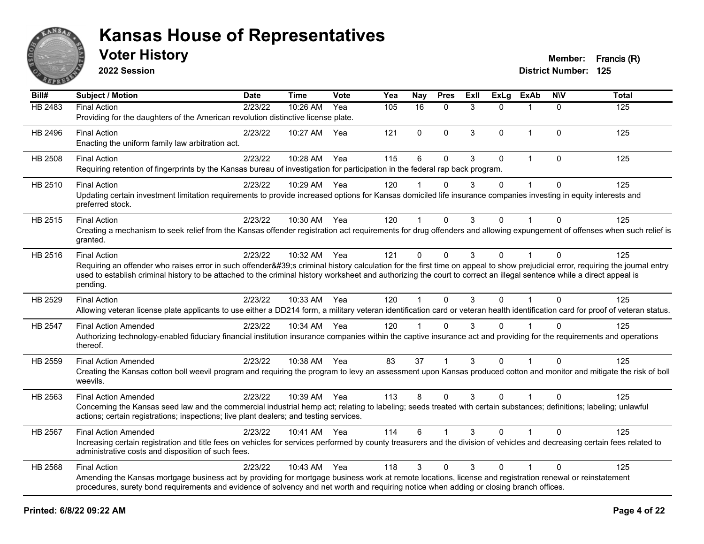

**2022 Session**

| Bill#          | Subject / Motion                                                                                                                                                                                                                                                                                                                                                                       | <b>Date</b> | <b>Time</b>  | Vote | Yea | Nay         | <b>Pres</b>  | Exll         | <b>ExLg</b> | <b>ExAb</b>  | <b>NIV</b>   | <b>Total</b> |
|----------------|----------------------------------------------------------------------------------------------------------------------------------------------------------------------------------------------------------------------------------------------------------------------------------------------------------------------------------------------------------------------------------------|-------------|--------------|------|-----|-------------|--------------|--------------|-------------|--------------|--------------|--------------|
| <b>HB 2483</b> | <b>Final Action</b><br>Providing for the daughters of the American revolution distinctive license plate.                                                                                                                                                                                                                                                                               | 2/23/22     | $10:26$ AM   | Yea  | 105 | 16          | $\mathbf{0}$ | 3            | $\Omega$    | 1            | $\Omega$     | 125          |
| HB 2496        | <b>Final Action</b><br>Enacting the uniform family law arbitration act.                                                                                                                                                                                                                                                                                                                | 2/23/22     | 10:27 AM     | Yea  | 121 | $\mathbf 0$ | $\Omega$     | 3            | 0           | 1            | $\mathbf 0$  | 125          |
| HB 2508        | <b>Final Action</b><br>Requiring retention of fingerprints by the Kansas bureau of investigation for participation in the federal rap back program.                                                                                                                                                                                                                                    | 2/23/22     | 10:28 AM     | Yea  | 115 | 6           | $\Omega$     | $\mathbf{3}$ | 0           | $\mathbf{1}$ | $\Omega$     | 125          |
| HB 2510        | <b>Final Action</b><br>Updating certain investment limitation requirements to provide increased options for Kansas domiciled life insurance companies investing in equity interests and<br>preferred stock.                                                                                                                                                                            | 2/23/22     | 10:29 AM Yea |      | 120 |             | $\Omega$     | 3            | $\Omega$    |              | $\Omega$     | 125          |
| HB 2515        | <b>Final Action</b><br>Creating a mechanism to seek relief from the Kansas offender registration act requirements for drug offenders and allowing expungement of offenses when such relief is<br>granted.                                                                                                                                                                              | 2/23/22     | 10:30 AM Yea |      | 120 | 1           | $\Omega$     | 3            | $\Omega$    |              | $\Omega$     | 125          |
| HB 2516        | <b>Final Action</b><br>Requiring an offender who raises error in such offender's criminal history calculation for the first time on appeal to show prejudicial error, requiring the journal entry<br>used to establish criminal history to be attached to the criminal history worksheet and authorizing the court to correct an illegal sentence while a direct appeal is<br>pending. | 2/23/22     | 10:32 AM Yea |      | 121 | $\mathbf 0$ | $\mathbf{0}$ | 3            | $\Omega$    | 1            | $\mathbf{0}$ | 125          |
| HB 2529        | <b>Final Action</b><br>Allowing veteran license plate applicants to use either a DD214 form, a military veteran identification card or veteran health identification card for proof of veteran status.                                                                                                                                                                                 | 2/23/22     | 10:33 AM Yea |      | 120 | 1           | $\Omega$     | 3            | $\Omega$    |              | $\Omega$     | 125          |
| HB 2547        | <b>Final Action Amended</b><br>Authorizing technology-enabled fiduciary financial institution insurance companies within the captive insurance act and providing for the requirements and operations<br>thereof.                                                                                                                                                                       | 2/23/22     | 10:34 AM Yea |      | 120 |             | $\Omega$     | 3            | 0           |              | $\mathbf{0}$ | 125          |
| HB 2559        | <b>Final Action Amended</b><br>Creating the Kansas cotton boll weevil program and requiring the program to levy an assessment upon Kansas produced cotton and monitor and mitigate the risk of boll<br>weevils.                                                                                                                                                                        | 2/23/22     | 10:38 AM     | Yea  | 83  | 37          | 1            | 3            | 0           |              | $\Omega$     | 125          |
| HB 2563        | <b>Final Action Amended</b><br>Concerning the Kansas seed law and the commercial industrial hemp act; relating to labeling; seeds treated with certain substances; definitions; labeling; unlawful<br>actions; certain registrations; inspections; live plant dealers; and testing services.                                                                                           | 2/23/22     | 10:39 AM Yea |      | 113 | 8           | $\mathbf{0}$ | 3            | $\Omega$    | 1            | $\Omega$     | 125          |
| HB 2567        | <b>Final Action Amended</b><br>Increasing certain registration and title fees on vehicles for services performed by county treasurers and the division of vehicles and decreasing certain fees related to<br>administrative costs and disposition of such fees.                                                                                                                        | 2/23/22     | 10:41 AM Yea |      | 114 | 6           | 1            | 3            | 0           |              | $\Omega$     | 125          |
| HB 2568        | <b>Final Action</b><br>Amending the Kansas mortgage business act by providing for mortgage business work at remote locations, license and registration renewal or reinstatement<br>procedures, surety bond requirements and evidence of solvency and net worth and requiring notice when adding or closing branch offices.                                                             | 2/23/22     | 10:43 AM     | Yea  | 118 | 3           | $\Omega$     | $\mathbf{3}$ | $\Omega$    |              | $\mathbf 0$  | 125          |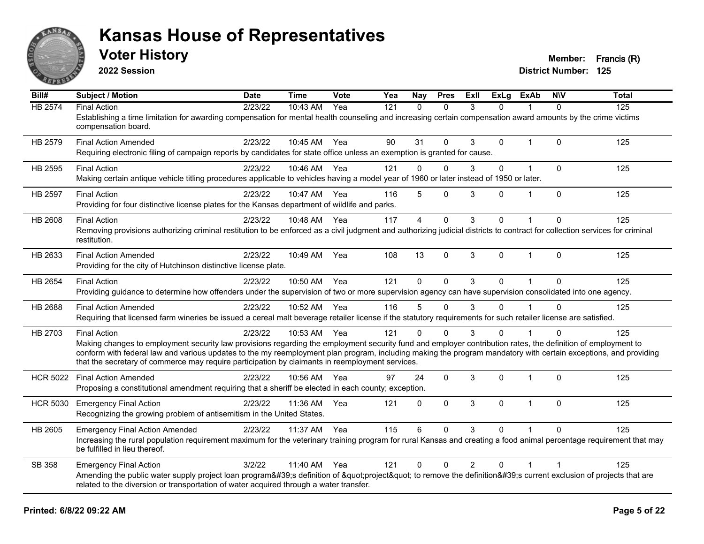

**2022 Session**

| Bill#           | <b>Subject / Motion</b>                                                                                                                                                                                                                                                                                                                                                                                                                                   | <b>Date</b> | <b>Time</b> | Vote | Yea | Nay         | <b>Pres</b>  | <b>ExII</b>    | <b>ExLg</b> | <b>ExAb</b> | <b>NIV</b>     | <b>Total</b> |
|-----------------|-----------------------------------------------------------------------------------------------------------------------------------------------------------------------------------------------------------------------------------------------------------------------------------------------------------------------------------------------------------------------------------------------------------------------------------------------------------|-------------|-------------|------|-----|-------------|--------------|----------------|-------------|-------------|----------------|--------------|
| <b>HB 2574</b>  | <b>Final Action</b><br>Establishing a time limitation for awarding compensation for mental health counseling and increasing certain compensation award amounts by the crime victims<br>compensation board.                                                                                                                                                                                                                                                | 2/23/22     | 10:43 AM    | Yea  | 121 | $\Omega$    | $\Omega$     | 3              | $\Omega$    |             | $\Omega$       | 125          |
| HB 2579         | <b>Final Action Amended</b><br>Requiring electronic filing of campaign reports by candidates for state office unless an exemption is granted for cause.                                                                                                                                                                                                                                                                                                   | 2/23/22     | 10:45 AM    | Yea  | 90  | 31          | $\Omega$     | 3              | $\Omega$    |             | 0              | 125          |
| HB 2595         | <b>Final Action</b><br>Making certain antique vehicle titling procedures applicable to vehicles having a model year of 1960 or later instead of 1950 or later.                                                                                                                                                                                                                                                                                            | 2/23/22     | 10:46 AM    | Yea  | 121 | 0           | $\Omega$     | 3              | $\Omega$    | $\mathbf 1$ | $\Omega$       | 125          |
| HB 2597         | <b>Final Action</b><br>Providing for four distinctive license plates for the Kansas department of wildlife and parks.                                                                                                                                                                                                                                                                                                                                     | 2/23/22     | 10:47 AM    | Yea  | 116 | 5           | $\Omega$     | 3              | $\Omega$    | 1           | $\mathbf{0}$   | 125          |
| <b>HB 2608</b>  | <b>Final Action</b><br>Removing provisions authorizing criminal restitution to be enforced as a civil judgment and authorizing judicial districts to contract for collection services for criminal<br>restitution.                                                                                                                                                                                                                                        | 2/23/22     | 10:48 AM    | Yea  | 117 | 4           | $\mathbf 0$  | 3              | $\Omega$    |             | $\mathbf{0}$   | 125          |
| HB 2633         | <b>Final Action Amended</b><br>Providing for the city of Hutchinson distinctive license plate.                                                                                                                                                                                                                                                                                                                                                            | 2/23/22     | 10:49 AM    | Yea  | 108 | 13          | $\Omega$     | 3              | $\Omega$    | $\mathbf 1$ | $\Omega$       | 125          |
| HB 2654         | <b>Final Action</b><br>Providing guidance to determine how offenders under the supervision of two or more supervision agency can have supervision consolidated into one agency.                                                                                                                                                                                                                                                                           | 2/23/22     | 10:50 AM    | Yea  | 121 | $\mathbf 0$ | $\Omega$     | 3              | $\Omega$    | 1           | $\Omega$       | 125          |
| HB 2688         | <b>Final Action Amended</b><br>Requiring that licensed farm wineries be issued a cereal malt beverage retailer license if the statutory requirements for such retailer license are satisfied.                                                                                                                                                                                                                                                             | 2/23/22     | 10:52 AM    | Yea  | 116 | 5           | $\Omega$     | 3              | $\Omega$    |             | $\Omega$       | 125          |
| HB 2703         | <b>Final Action</b><br>Making changes to employment security law provisions regarding the employment security fund and employer contribution rates, the definition of employment to<br>conform with federal law and various updates to the my reemployment plan program, including making the program mandatory with certain exceptions, and providing<br>that the secretary of commerce may require participation by claimants in reemployment services. | 2/23/22     | 10:53 AM    | Yea  | 121 | $\Omega$    | $\Omega$     | 3              | $\Omega$    |             | $\Omega$       | 125          |
| <b>HCR 5022</b> | <b>Final Action Amended</b><br>Proposing a constitutional amendment requiring that a sheriff be elected in each county; exception.                                                                                                                                                                                                                                                                                                                        | 2/23/22     | 10:56 AM    | Yea  | 97  | 24          | $\Omega$     | 3              | $\Omega$    | 1           | $\Omega$       | 125          |
| <b>HCR 5030</b> | <b>Emergency Final Action</b><br>Recognizing the growing problem of antisemitism in the United States.                                                                                                                                                                                                                                                                                                                                                    | 2/23/22     | 11:36 AM    | Yea  | 121 | 0           | $\mathbf{0}$ | 3              | $\Omega$    | $\mathbf 1$ | $\mathbf{0}$   | 125          |
| HB 2605         | <b>Emergency Final Action Amended</b><br>Increasing the rural population requirement maximum for the veterinary training program for rural Kansas and creating a food animal percentage requirement that may<br>be fulfilled in lieu thereof.                                                                                                                                                                                                             | 2/23/22     | 11:37 AM    | Yea  | 115 | 6           | $\Omega$     | 3              | 0           |             | $\Omega$       | 125          |
| SB 358          | <b>Emergency Final Action</b><br>Amending the public water supply project loan program's definition of "project" to remove the definition's current exclusion of projects that are<br>related to the diversion or transportation of water acquired through a water transfer.                                                                                                                                                                              | 3/2/22      | 11:40 AM    | Yea  | 121 | 0           | $\mathbf 0$  | $\overline{2}$ | $\Omega$    | 1           | $\overline{1}$ | 125          |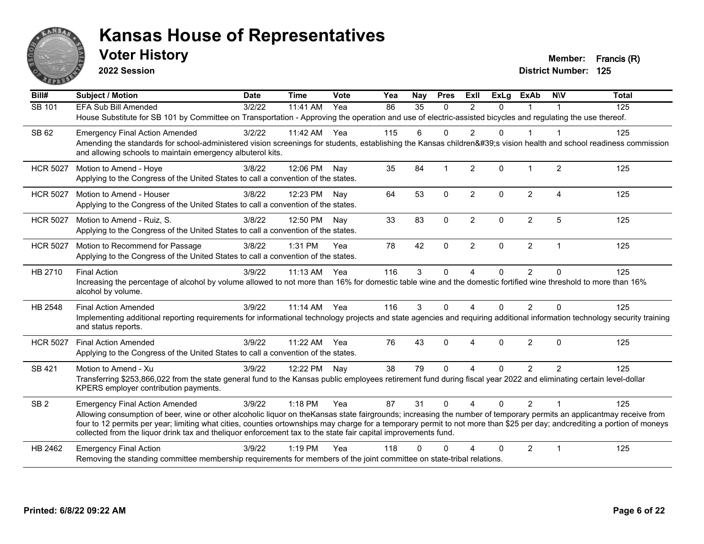

**2022 Session**

| Bill#           | <b>Subject / Motion</b>                                                                                                                                                                                                                                                                                                                                                                                                                                             | <b>Date</b> | <b>Time</b>  | Vote | Yea | <b>Nay</b> | <b>Pres</b>  | ExII                   | <b>ExLg</b>  | <b>ExAb</b>    | <b>NIV</b>             | <b>Total</b> |
|-----------------|---------------------------------------------------------------------------------------------------------------------------------------------------------------------------------------------------------------------------------------------------------------------------------------------------------------------------------------------------------------------------------------------------------------------------------------------------------------------|-------------|--------------|------|-----|------------|--------------|------------------------|--------------|----------------|------------------------|--------------|
| SB 101          | EFA Sub Bill Amended                                                                                                                                                                                                                                                                                                                                                                                                                                                | 3/2/22      | 11:41 AM     | Yea  | 86  | 35         | $\mathbf{0}$ | $\overline{2}$         | $\Omega$     |                |                        | 125          |
|                 | House Substitute for SB 101 by Committee on Transportation - Approving the operation and use of electric-assisted bicycles and regulating the use thereof.                                                                                                                                                                                                                                                                                                          |             |              |      |     |            |              |                        |              |                |                        |              |
| SB 62           | <b>Emergency Final Action Amended</b>                                                                                                                                                                                                                                                                                                                                                                                                                               | 3/2/22      | 11:42 AM Yea |      | 115 | 6          | $\Omega$     | $\overline{2}$         | $\Omega$     |                |                        | 125          |
|                 | Amending the standards for school-administered vision screenings for students, establishing the Kansas children's vision health and school readiness commission<br>and allowing schools to maintain emergency albuterol kits.                                                                                                                                                                                                                                       |             |              |      |     |            |              |                        |              |                |                        |              |
| <b>HCR 5027</b> | Motion to Amend - Hoye<br>Applying to the Congress of the United States to call a convention of the states.                                                                                                                                                                                                                                                                                                                                                         | 3/8/22      | 12:06 PM     | Nay  | 35  | 84         | 1            | $\overline{2}$         | $\Omega$     |                | $\overline{2}$         | 125          |
|                 |                                                                                                                                                                                                                                                                                                                                                                                                                                                                     | 3/8/22      |              |      | 64  | 53         | $\Omega$     | $\overline{2}$         | $\Omega$     | $\overline{2}$ | $\boldsymbol{\Lambda}$ | 125          |
| <b>HCR 5027</b> | Motion to Amend - Houser<br>Applying to the Congress of the United States to call a convention of the states.                                                                                                                                                                                                                                                                                                                                                       |             | 12:23 PM     | Nav  |     |            |              |                        |              |                |                        |              |
| <b>HCR 5027</b> | Motion to Amend - Ruiz, S.<br>Applying to the Congress of the United States to call a convention of the states.                                                                                                                                                                                                                                                                                                                                                     | 3/8/22      | 12:50 PM     | Nay  | 33  | 83         | $\Omega$     | $\overline{2}$         | $\mathbf{0}$ | $\overline{c}$ | 5                      | 125          |
|                 |                                                                                                                                                                                                                                                                                                                                                                                                                                                                     |             |              |      |     |            |              |                        |              |                |                        |              |
| <b>HCR 5027</b> | Motion to Recommend for Passage<br>Applying to the Congress of the United States to call a convention of the states.                                                                                                                                                                                                                                                                                                                                                | 3/8/22      | $1:31$ PM    | Yea  | 78  | 42         | $\mathbf 0$  | $\overline{2}$         | $\mathbf 0$  | $\overline{2}$ | $\mathbf 1$            | 125          |
| HB 2710         | <b>Final Action</b>                                                                                                                                                                                                                                                                                                                                                                                                                                                 | 3/9/22      | 11:13 AM     | Yea  | 116 | 3          | $\mathbf 0$  | 4                      | $\Omega$     | $\overline{2}$ | $\Omega$               | 125          |
|                 | Increasing the percentage of alcohol by volume allowed to not more than 16% for domestic table wine and the domestic fortified wine threshold to more than 16%<br>alcohol by volume.                                                                                                                                                                                                                                                                                |             |              |      |     |            |              |                        |              |                |                        |              |
| HB 2548         | <b>Final Action Amended</b>                                                                                                                                                                                                                                                                                                                                                                                                                                         | 3/9/22      | 11:14 AM     | Yea  | 116 | 3          | $\mathbf{0}$ | $\boldsymbol{\Lambda}$ | $\Omega$     | $\overline{2}$ | $\Omega$               | 125          |
|                 | Implementing additional reporting requirements for informational technology projects and state agencies and requiring additional information technology security training<br>and status reports.                                                                                                                                                                                                                                                                    |             |              |      |     |            |              |                        |              |                |                        |              |
| <b>HCR 5027</b> | <b>Final Action Amended</b>                                                                                                                                                                                                                                                                                                                                                                                                                                         | 3/9/22      | 11:22 AM     | Yea  | 76  | 43         | $\Omega$     | $\boldsymbol{\Lambda}$ | $\Omega$     | $\overline{2}$ | $\Omega$               | 125          |
|                 | Applying to the Congress of the United States to call a convention of the states.                                                                                                                                                                                                                                                                                                                                                                                   |             |              |      |     |            |              |                        |              |                |                        |              |
| <b>SB 421</b>   | Motion to Amend - Xu                                                                                                                                                                                                                                                                                                                                                                                                                                                | 3/9/22      | 12:22 PM     | Nay  | 38  | 79         | $\Omega$     | $\boldsymbol{\Lambda}$ | $\Omega$     | $\overline{2}$ | $\overline{2}$         | 125          |
|                 | Transferring \$253,866,022 from the state general fund to the Kansas public employees retirement fund during fiscal year 2022 and eliminating certain level-dollar<br>KPERS employer contribution payments.                                                                                                                                                                                                                                                         |             |              |      |     |            |              |                        |              |                |                        |              |
| SB <sub>2</sub> | <b>Emergency Final Action Amended</b>                                                                                                                                                                                                                                                                                                                                                                                                                               | 3/9/22      | 1:18 PM      | Yea  | 87  | 31         | $\Omega$     | $\boldsymbol{\Lambda}$ | $\Omega$     | $\overline{2}$ | $\mathbf 1$            | 125          |
|                 | Allowing consumption of beer, wine or other alcoholic liquor on theKansas state fairgrounds; increasing the number of temporary permits an applicantmay receive from<br>four to 12 permits per year; limiting what cities, counties ortownships may charge for a temporary permit to not more than \$25 per day; andcrediting a portion of moneys<br>collected from the liquor drink tax and theliquor enforcement tax to the state fair capital improvements fund. |             |              |      |     |            |              |                        |              |                |                        |              |
| HB 2462         | <b>Emergency Final Action</b>                                                                                                                                                                                                                                                                                                                                                                                                                                       | 3/9/22      | $1:19$ PM    | Yea  | 118 | 0          | O            |                        | 0            | $\overline{2}$ | $\mathbf 1$            | 125          |
|                 | Removing the standing committee membership requirements for members of the joint committee on state-tribal relations.                                                                                                                                                                                                                                                                                                                                               |             |              |      |     |            |              |                        |              |                |                        |              |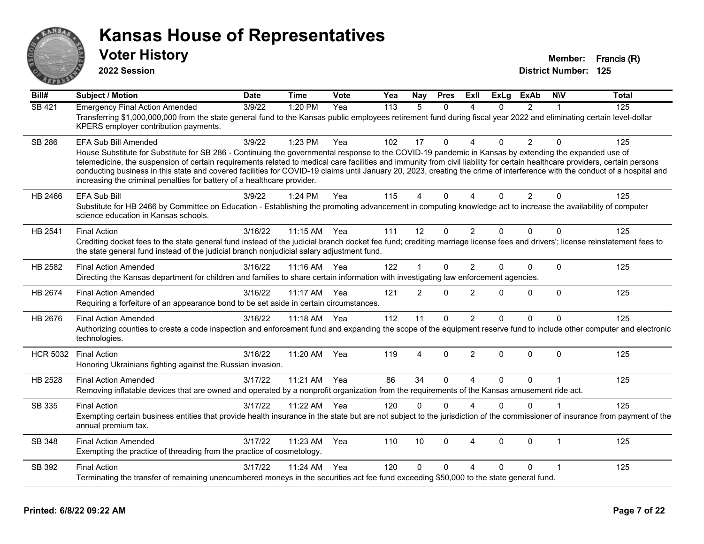

**2022 Session**

| Bill#           | <b>Subject / Motion</b>                                                                                                                                                                                                                                                                                                                                                                                                                                                                                                                                                                                               | <b>Date</b> | <b>Time</b>  | Vote  | Yea | <b>Nav</b>     | <b>Pres</b>  | ExIl                   | <b>ExLg</b>  | <b>ExAb</b>    | N/V          | <b>Total</b> |
|-----------------|-----------------------------------------------------------------------------------------------------------------------------------------------------------------------------------------------------------------------------------------------------------------------------------------------------------------------------------------------------------------------------------------------------------------------------------------------------------------------------------------------------------------------------------------------------------------------------------------------------------------------|-------------|--------------|-------|-----|----------------|--------------|------------------------|--------------|----------------|--------------|--------------|
| <b>SB 421</b>   | <b>Emergency Final Action Amended</b><br>Transferring \$1,000,000,000 from the state general fund to the Kansas public employees retirement fund during fiscal year 2022 and eliminating certain level-dollar<br>KPERS employer contribution payments.                                                                                                                                                                                                                                                                                                                                                                | 3/9/22      | 1:20 PM      | Yea   | 113 | $\overline{5}$ | $\Omega$     | $\boldsymbol{\Lambda}$ | $\Omega$     | $\mathcal{P}$  | 1            | 125          |
| <b>SB 286</b>   | EFA Sub Bill Amended<br>House Substitute for Substitute for SB 286 - Continuing the governmental response to the COVID-19 pandemic in Kansas by extending the expanded use of<br>telemedicine, the suspension of certain requirements related to medical care facilities and immunity from civil liability for certain healthcare providers, certain persons<br>conducting business in this state and covered facilities for COVID-19 claims until January 20, 2023, creating the crime of interference with the conduct of a hospital and<br>increasing the criminal penalties for battery of a healthcare provider. | 3/9/22      | 1:23 PM      | Yea   | 102 | 17             | $\Omega$     | $\Delta$               | $\Omega$     | $\overline{2}$ | $\Omega$     | 125          |
| HB 2466         | <b>EFA Sub Bill</b><br>Substitute for HB 2466 by Committee on Education - Establishing the promoting advancement in computing knowledge act to increase the availability of computer<br>science education in Kansas schools.                                                                                                                                                                                                                                                                                                                                                                                          | 3/9/22      | $1:24$ PM    | Yea   | 115 | 4              | $\mathbf{0}$ | $\overline{A}$         | $\Omega$     | $\overline{2}$ | $\mathbf{0}$ | 125          |
| HB 2541         | <b>Final Action</b><br>Crediting docket fees to the state general fund instead of the judicial branch docket fee fund; crediting marriage license fees and drivers'; license reinstatement fees to<br>the state general fund instead of the judicial branch nonjudicial salary adjustment fund.                                                                                                                                                                                                                                                                                                                       | 3/16/22     | 11:15 AM Yea |       | 111 | 12             | $\mathbf{0}$ | $\overline{2}$         | $\Omega$     | $\Omega$       | $\Omega$     | 125          |
| HB 2582         | <b>Final Action Amended</b><br>Directing the Kansas department for children and families to share certain information with investigating law enforcement agencies.                                                                                                                                                                                                                                                                                                                                                                                                                                                    | 3/16/22     | 11:16 AM     | - Yea | 122 | $\overline{1}$ | $\Omega$     | 2                      | $\Omega$     | $\Omega$       | $\mathbf{0}$ | 125          |
| HB 2674         | <b>Final Action Amended</b><br>Requiring a forfeiture of an appearance bond to be set aside in certain circumstances.                                                                                                                                                                                                                                                                                                                                                                                                                                                                                                 | 3/16/22     | 11:17 AM     | Yea   | 121 | 2              | $\mathbf{0}$ | 2                      | $\Omega$     | $\Omega$       | $\Omega$     | 125          |
| HB 2676         | <b>Final Action Amended</b><br>Authorizing counties to create a code inspection and enforcement fund and expanding the scope of the equipment reserve fund to include other computer and electronic<br>technologies.                                                                                                                                                                                                                                                                                                                                                                                                  | 3/16/22     | 11:18 AM Yea |       | 112 | 11             | $\Omega$     | $\overline{2}$         | $\Omega$     | $\Omega$       | $\Omega$     | 125          |
| <b>HCR 5032</b> | <b>Final Action</b><br>Honoring Ukrainians fighting against the Russian invasion.                                                                                                                                                                                                                                                                                                                                                                                                                                                                                                                                     | 3/16/22     | 11:20 AM     | Yea   | 119 | 4              | $\Omega$     | $\overline{2}$         | $\mathbf{0}$ | $\Omega$       | $\Omega$     | 125          |
| HB 2528         | <b>Final Action Amended</b><br>Removing inflatable devices that are owned and operated by a nonprofit organization from the requirements of the Kansas amusement ride act.                                                                                                                                                                                                                                                                                                                                                                                                                                            | 3/17/22     | 11:21 AM     | Yea   | 86  | 34             | $\Omega$     | $\boldsymbol{\Lambda}$ | $\Omega$     | $\Omega$       | $\mathbf 1$  | 125          |
| SB 335          | <b>Final Action</b><br>Exempting certain business entities that provide health insurance in the state but are not subject to the jurisdiction of the commissioner of insurance from payment of the<br>annual premium tax.                                                                                                                                                                                                                                                                                                                                                                                             | 3/17/22     | 11:22 AM     | Yea   | 120 | $\mathbf{0}$   | $\Omega$     | $\Delta$               | $\Omega$     | $\Omega$       | $\mathbf 1$  | 125          |
| SB 348          | <b>Final Action Amended</b><br>Exempting the practice of threading from the practice of cosmetology.                                                                                                                                                                                                                                                                                                                                                                                                                                                                                                                  | 3/17/22     | 11:23 AM     | Yea   | 110 | 10             | $\mathbf{0}$ | $\overline{4}$         | $\Omega$     | $\Omega$       | $\mathbf{1}$ | 125          |
| SB 392          | <b>Final Action</b><br>Terminating the transfer of remaining unencumbered moneys in the securities act fee fund exceeding \$50,000 to the state general fund.                                                                                                                                                                                                                                                                                                                                                                                                                                                         | 3/17/22     | 11:24 AM     | Yea   | 120 | 0              | 0            | Δ                      | $\Omega$     | 0              | 1            | 125          |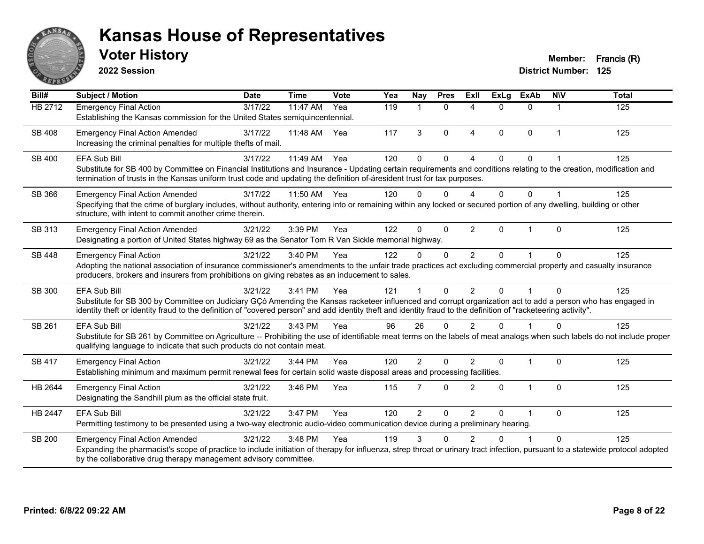

**2022 Session**

| Bill#         | <b>Subject / Motion</b>                                                                                                                                                                                                                                                                                                                               | <b>Date</b> | <b>Time</b> | Vote | Yea | Nay            | <b>Pres</b>  | <b>Exll</b>            | <b>ExLg</b> | <b>ExAb</b>    | <b>NIV</b> | <b>Total</b> |
|---------------|-------------------------------------------------------------------------------------------------------------------------------------------------------------------------------------------------------------------------------------------------------------------------------------------------------------------------------------------------------|-------------|-------------|------|-----|----------------|--------------|------------------------|-------------|----------------|------------|--------------|
| HB 2712       | <b>Emergency Final Action</b><br>Establishing the Kansas commission for the United States semiguincentennial.                                                                                                                                                                                                                                         | 3/17/22     | 11:47 AM    | Yea  | 119 | -1             | $\mathbf{0}$ | 4                      | $\Omega$    | $\Omega$       | 1          | 125          |
| SB 408        | <b>Emergency Final Action Amended</b><br>Increasing the criminal penalties for multiple thefts of mail.                                                                                                                                                                                                                                               | 3/17/22     | 11:48 AM    | Yea  | 117 | 3              | $\Omega$     | $\boldsymbol{\Lambda}$ | $\Omega$    | $\mathbf{0}$   | 1          | 125          |
| SB 400        | <b>EFA Sub Bill</b><br>Substitute for SB 400 by Committee on Financial Institutions and Insurance - Updating certain requirements and conditions relating to the creation, modification and<br>termination of trusts in the Kansas uniform trust code and updating the definition of-áresident trust for tax purposes.                                | 3/17/22     | 11:49 AM    | Yea  | 120 | $\Omega$       | $\Omega$     |                        | 0           | 0              |            | 125          |
| SB 366        | <b>Emergency Final Action Amended</b><br>Specifying that the crime of burglary includes, without authority, entering into or remaining within any locked or secured portion of any dwelling, building or other<br>structure, with intent to commit another crime therein.                                                                             | 3/17/22     | 11:50 AM    | Yea  | 120 | 0              | 0            |                        | 0           | 0              |            | 125          |
| SB 313        | <b>Emergency Final Action Amended</b><br>Designating a portion of United States highway 69 as the Senator Tom R Van Sickle memorial highway.                                                                                                                                                                                                          | 3/21/22     | 3:39 PM     | Yea  | 122 | $\Omega$       | $\Omega$     | 2                      | $\Omega$    | -1             | $\Omega$   | 125          |
| <b>SB 448</b> | <b>Emergency Final Action</b><br>Adopting the national association of insurance commissioner's amendments to the unfair trade practices act excluding commercial property and casualty insurance<br>producers, brokers and insurers from prohibitions on giving rebates as an inducement to sales.                                                    | 3/21/22     | 3:40 PM     | Yea  | 122 | $\Omega$       | $\mathbf{0}$ | $\mathcal{P}$          | $\Omega$    |                | $\Omega$   | 125          |
| SB 300        | <b>EFA Sub Bill</b><br>Substitute for SB 300 by Committee on Judiciary GÇô Amending the Kansas racketeer influenced and corrupt organization act to add a person who has engaged in<br>identity theft or identity fraud to the definition of "covered person" and add identity theft and identity fraud to the definition of "racketeering activity". | 3/21/22     | 3:41 PM     | Yea  | 121 |                | $\Omega$     | $\overline{2}$         | $\Omega$    |                | $\Omega$   | 125          |
| SB 261        | <b>EFA Sub Bill</b><br>Substitute for SB 261 by Committee on Agriculture -- Prohibiting the use of identifiable meat terms on the labels of meat analogs when such labels do not include proper<br>qualifying language to indicate that such products do not contain meat.                                                                            | 3/21/22     | 3:43 PM     | Yea  | 96  | 26             | $\Omega$     | 2                      | U           |                | $\Omega$   | 125          |
| <b>SB 417</b> | <b>Emergency Final Action</b><br>Establishing minimum and maximum permit renewal fees for certain solid waste disposal areas and processing facilities.                                                                                                                                                                                               | 3/21/22     | 3:44 PM     | Yea  | 120 | $\overline{2}$ | $\Omega$     | $\mathfrak{p}$         | $\Omega$    | $\overline{1}$ | $\Omega$   | 125          |
| HB 2644       | <b>Emergency Final Action</b><br>Designating the Sandhill plum as the official state fruit.                                                                                                                                                                                                                                                           | 3/21/22     | 3:46 PM     | Yea  | 115 | 7              | $\Omega$     | $\overline{2}$         | $\Omega$    | $\mathbf{1}$   | $\Omega$   | 125          |
| HB 2447       | <b>EFA Sub Bill</b><br>Permitting testimony to be presented using a two-way electronic audio-video communication device during a preliminary hearing.                                                                                                                                                                                                 | 3/21/22     | 3:47 PM     | Yea  | 120 | $\overline{2}$ | $\mathbf{0}$ | $\overline{2}$         | $\Omega$    | 1              | $\Omega$   | 125          |
| SB 200        | <b>Emergency Final Action Amended</b><br>Expanding the pharmacist's scope of practice to include initiation of therapy for influenza, strep throat or urinary tract infection, pursuant to a statewide protocol adopted<br>by the collaborative drug therapy management advisory committee.                                                           | 3/21/22     | 3:48 PM     | Yea  | 119 | 3              | n            | 2                      |             |                | $\Omega$   | 125          |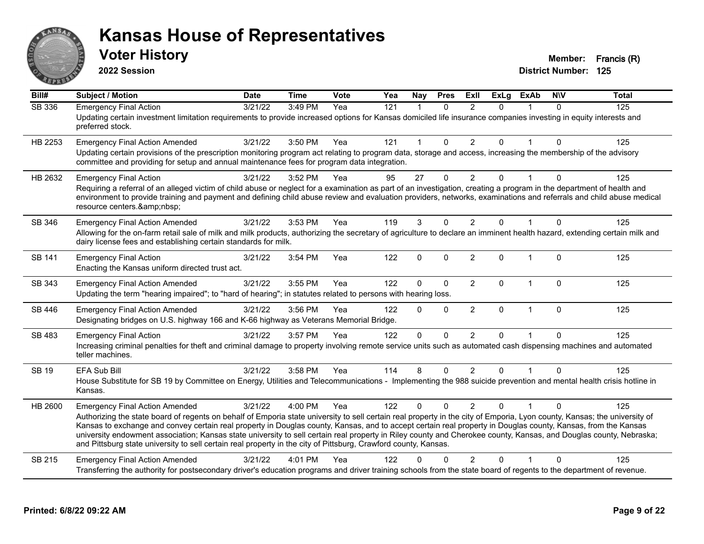

**2022 Session**

| $\overline{Bill#}$ | <b>Subject / Motion</b>                                                                                                                                                                                                                                                                                                                                                                                                                                                                                                                                                                                                                                                      | <b>Date</b> | <b>Time</b> | Vote | Yea              | <b>Nay</b>   | <b>Pres</b> | <b>Exll</b>    | <b>ExLg</b> | <b>ExAb</b>  | <b>NIV</b>   | <b>Total</b> |
|--------------------|------------------------------------------------------------------------------------------------------------------------------------------------------------------------------------------------------------------------------------------------------------------------------------------------------------------------------------------------------------------------------------------------------------------------------------------------------------------------------------------------------------------------------------------------------------------------------------------------------------------------------------------------------------------------------|-------------|-------------|------|------------------|--------------|-------------|----------------|-------------|--------------|--------------|--------------|
| <b>SB 336</b>      | <b>Emergency Final Action</b><br>Updating certain investment limitation requirements to provide increased options for Kansas domiciled life insurance companies investing in equity interests and<br>preferred stock.                                                                                                                                                                                                                                                                                                                                                                                                                                                        | 3/21/22     | 3:49 PM     | Yea  | $\overline{121}$ | $\mathbf{1}$ | $\Omega$    | 2              | $\Omega$    |              | $\mathbf{0}$ | 125          |
| HB 2253            | <b>Emergency Final Action Amended</b><br>Updating certain provisions of the prescription monitoring program act relating to program data, storage and access, increasing the membership of the advisory<br>committee and providing for setup and annual maintenance fees for program data integration.                                                                                                                                                                                                                                                                                                                                                                       | 3/21/22     | 3:50 PM     | Yea  | 121              | $\mathbf 1$  | $\Omega$    | $\overline{2}$ | $\Omega$    | 1            | $\Omega$     | 125          |
| HB 2632            | <b>Emergency Final Action</b><br>Requiring a referral of an alleged victim of child abuse or neglect for a examination as part of an investigation, creating a program in the department of health and<br>environment to provide training and payment and defining child abuse review and evaluation providers, networks, examinations and referrals and child abuse medical<br>resource centers.                                                                                                                                                                                                                                                                            | 3/21/22     | 3:52 PM     | Yea  | 95               | 27           | $\Omega$    | $\overline{2}$ | 0           |              | $\Omega$     | 125          |
| SB 346             | <b>Emergency Final Action Amended</b><br>Allowing for the on-farm retail sale of milk and milk products, authorizing the secretary of agriculture to declare an imminent health hazard, extending certain milk and<br>dairy license fees and establishing certain standards for milk.                                                                                                                                                                                                                                                                                                                                                                                        | 3/21/22     | 3:53 PM     | Yea  | 119              | 3            | $\Omega$    | $\overline{2}$ | 0           |              | $\Omega$     | 125          |
| SB 141             | <b>Emergency Final Action</b><br>Enacting the Kansas uniform directed trust act.                                                                                                                                                                                                                                                                                                                                                                                                                                                                                                                                                                                             | 3/21/22     | 3:54 PM     | Yea  | 122              | 0            | $\Omega$    | $\overline{2}$ | $\Omega$    | $\mathbf{1}$ | $\Omega$     | 125          |
| SB 343             | <b>Emergency Final Action Amended</b><br>Updating the term "hearing impaired"; to "hard of hearing"; in statutes related to persons with hearing loss.                                                                                                                                                                                                                                                                                                                                                                                                                                                                                                                       | 3/21/22     | 3:55 PM     | Yea  | 122              | 0            | $\mathbf 0$ | $\overline{2}$ | $\Omega$    | $\mathbf{1}$ | $\mathbf 0$  | 125          |
| SB 446             | <b>Emergency Final Action Amended</b><br>Designating bridges on U.S. highway 166 and K-66 highway as Veterans Memorial Bridge.                                                                                                                                                                                                                                                                                                                                                                                                                                                                                                                                               | 3/21/22     | 3:56 PM     | Yea  | 122              | 0            | $\Omega$    | $\overline{2}$ | $\Omega$    | $\mathbf{1}$ | $\mathbf 0$  | 125          |
| SB 483             | <b>Emergency Final Action</b><br>Increasing criminal penalties for theft and criminal damage to property involving remote service units such as automated cash dispensing machines and automated<br>teller machines.                                                                                                                                                                                                                                                                                                                                                                                                                                                         | 3/21/22     | 3:57 PM     | Yea  | 122              | 0            | $\Omega$    | 2              | 0           | 1            | $\Omega$     | 125          |
| <b>SB 19</b>       | EFA Sub Bill<br>House Substitute for SB 19 by Committee on Energy, Utilities and Telecommunications - Implementing the 988 suicide prevention and mental health crisis hotline in<br>Kansas.                                                                                                                                                                                                                                                                                                                                                                                                                                                                                 | 3/21/22     | 3:58 PM     | Yea  | 114              | 8            | $\Omega$    | $\overline{2}$ | $\Omega$    |              | $\Omega$     | 125          |
| HB 2600            | <b>Emergency Final Action Amended</b><br>Authorizing the state board of regents on behalf of Emporia state university to sell certain real property in the city of Emporia, Lyon county, Kansas; the university of<br>Kansas to exchange and convey certain real property in Douglas county, Kansas, and to accept certain real property in Douglas county, Kansas, from the Kansas<br>university endowment association; Kansas state university to sell certain real property in Riley county and Cherokee county, Kansas, and Douglas county, Nebraska;<br>and Pittsburg state university to sell certain real property in the city of Pittsburg, Crawford county, Kansas. | 3/21/22     | 4:00 PM     | Yea  | 122              | $\Omega$     | $\Omega$    | $\mathfrak{p}$ | 0           |              | $\Omega$     | 125          |
| SB 215             | <b>Emergency Final Action Amended</b><br>Transferring the authority for postsecondary driver's education programs and driver training schools from the state board of regents to the department of revenue.                                                                                                                                                                                                                                                                                                                                                                                                                                                                  | 3/21/22     | 4:01 PM     | Yea  | 122              | U            |             | $\mathcal{P}$  | 0           |              | $\Omega$     | 125          |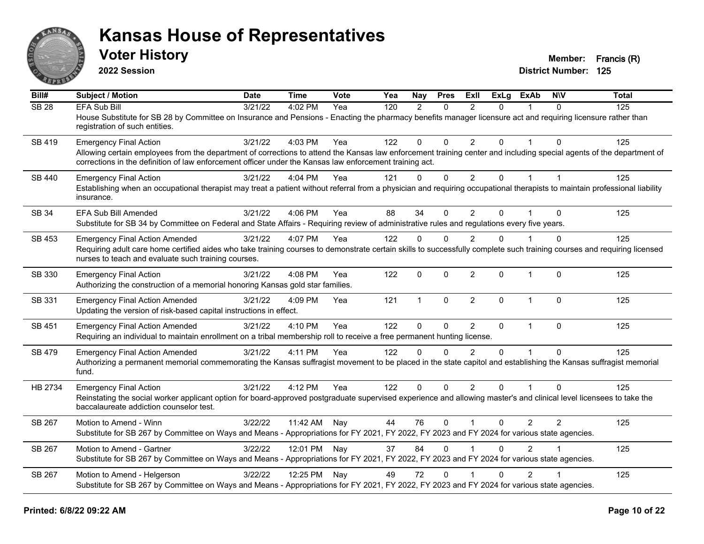

**2022 Session**

| Bill#         | <b>Subject / Motion</b>                                                                                                                                                                                                                                                         | <b>Date</b> | <b>Time</b>  | Vote | Yea | Nay           | <b>Pres</b>  | ExII           | <b>ExLg</b>  | <b>ExAb</b>    | <b>NIV</b>   | <b>Total</b> |
|---------------|---------------------------------------------------------------------------------------------------------------------------------------------------------------------------------------------------------------------------------------------------------------------------------|-------------|--------------|------|-----|---------------|--------------|----------------|--------------|----------------|--------------|--------------|
| <b>SB 28</b>  | <b>EFA Sub Bill</b>                                                                                                                                                                                                                                                             | 3/21/22     | 4:02 PM      | Yea  | 120 | $\mathcal{P}$ | $\Omega$     | $\mathfrak{p}$ | $\Omega$     | $\mathbf{1}$   | $\Omega$     | 125          |
|               | House Substitute for SB 28 by Committee on Insurance and Pensions - Enacting the pharmacy benefits manager licensure act and requiring licensure rather than<br>registration of such entities.                                                                                  |             |              |      |     |               |              |                |              |                |              |              |
| SB 419        | <b>Emergency Final Action</b>                                                                                                                                                                                                                                                   | 3/21/22     | 4:03 PM      | Yea  | 122 | 0             | $\Omega$     | $\overline{2}$ | $\mathbf{0}$ |                | $\Omega$     | 125          |
|               | Allowing certain employees from the department of corrections to attend the Kansas law enforcement training center and including special agents of the department of<br>corrections in the definition of law enforcement officer under the Kansas law enforcement training act. |             |              |      |     |               |              |                |              |                |              |              |
| SB 440        | <b>Emergency Final Action</b>                                                                                                                                                                                                                                                   | 3/21/22     | 4:04 PM      | Yea  | 121 | $\Omega$      | $\mathbf 0$  | 2              | $\Omega$     | $\mathbf{1}$   | $\mathbf{1}$ | 125          |
|               | Establishing when an occupational therapist may treat a patient without referral from a physician and requiring occupational therapists to maintain professional liability<br>insurance.                                                                                        |             |              |      |     |               |              |                |              |                |              |              |
| SB 34         | <b>EFA Sub Bill Amended</b>                                                                                                                                                                                                                                                     | 3/21/22     | 4:06 PM      | Yea  | 88  | 34            | $\Omega$     | $\overline{2}$ | $\Omega$     |                | $\Omega$     | 125          |
|               | Substitute for SB 34 by Committee on Federal and State Affairs - Requiring review of administrative rules and regulations every five years.                                                                                                                                     |             |              |      |     |               |              |                |              |                |              |              |
| SB 453        | <b>Emergency Final Action Amended</b>                                                                                                                                                                                                                                           | 3/21/22     | 4:07 PM      | Yea  | 122 | $\Omega$      | $\Omega$     | $\overline{2}$ | 0            |                | $\mathbf 0$  | 125          |
|               | Requiring adult care home certified aides who take training courses to demonstrate certain skills to successfully complete such training courses and requiring licensed<br>nurses to teach and evaluate such training courses.                                                  |             |              |      |     |               |              |                |              |                |              |              |
| SB 330        | <b>Emergency Final Action</b>                                                                                                                                                                                                                                                   | 3/21/22     | $4:08$ PM    | Yea  | 122 | $\mathbf 0$   | $\Omega$     | 2              | $\Omega$     | $\mathbf{1}$   | $\Omega$     | 125          |
|               | Authorizing the construction of a memorial honoring Kansas gold star families.                                                                                                                                                                                                  |             |              |      |     |               |              |                |              |                |              |              |
| SB 331        | <b>Emergency Final Action Amended</b>                                                                                                                                                                                                                                           | 3/21/22     | 4:09 PM      | Yea  | 121 | $\mathbf{1}$  | $\mathbf 0$  | $\overline{2}$ | $\Omega$     | $\mathbf{1}$   | $\mathbf 0$  | 125          |
|               | Updating the version of risk-based capital instructions in effect.                                                                                                                                                                                                              |             |              |      |     |               |              |                |              |                |              |              |
| SB 451        | <b>Emergency Final Action Amended</b>                                                                                                                                                                                                                                           | 3/21/22     | 4:10 PM      | Yea  | 122 | 0             | $\mathbf{0}$ | $\overline{2}$ | $\Omega$     | $\overline{1}$ | $\mathbf 0$  | 125          |
|               | Requiring an individual to maintain enrollment on a tribal membership roll to receive a free permanent hunting license.                                                                                                                                                         |             |              |      |     |               |              |                |              |                |              |              |
| SB 479        | <b>Emergency Final Action Amended</b>                                                                                                                                                                                                                                           | 3/21/22     | 4:11 PM      | Yea  | 122 | $\mathbf{0}$  | $\Omega$     | $\overline{2}$ | $\Omega$     |                | $\Omega$     | 125          |
|               | Authorizing a permanent memorial commemorating the Kansas suffragist movement to be placed in the state capitol and establishing the Kansas suffragist memorial                                                                                                                 |             |              |      |     |               |              |                |              |                |              |              |
|               | fund.                                                                                                                                                                                                                                                                           |             |              |      |     |               |              |                |              |                |              |              |
| HB 2734       | <b>Emergency Final Action</b>                                                                                                                                                                                                                                                   | 3/21/22     | 4:12 PM      | Yea  | 122 | $\Omega$      | $\Omega$     | 2              | $\Omega$     | $\overline{1}$ | $\Omega$     | 125          |
|               | Reinstating the social worker applicant option for board-approved postgraduate supervised experience and allowing master's and clinical level licensees to take the<br>baccalaureate addiction counselor test.                                                                  |             |              |      |     |               |              |                |              |                |              |              |
| SB 267        | Motion to Amend - Winn                                                                                                                                                                                                                                                          | 3/22/22     | 11:42 AM     | Nay  | 44  | 76            | $\Omega$     | $\overline{1}$ | $\mathbf{0}$ | $\overline{2}$ | 2            | 125          |
|               | Substitute for SB 267 by Committee on Ways and Means - Appropriations for FY 2021, FY 2022, FY 2023 and FY 2024 for various state agencies.                                                                                                                                     |             |              |      |     |               |              |                |              |                |              |              |
| SB 267        | Motion to Amend - Gartner                                                                                                                                                                                                                                                       | 3/22/22     | 12:01 PM Nay |      | 37  | 84            | $\Omega$     |                | $\Omega$     | $\mathcal{P}$  |              | 125          |
|               | Substitute for SB 267 by Committee on Ways and Means - Appropriations for FY 2021, FY 2022, FY 2023 and FY 2024 for various state agencies.                                                                                                                                     |             |              |      |     |               |              |                |              |                |              |              |
| <b>SB 267</b> | Motion to Amend - Helgerson                                                                                                                                                                                                                                                     | 3/22/22     | 12:25 PM     | Nay  | 49  | 72            | $\Omega$     |                | $\Omega$     | $\overline{2}$ |              | 125          |
|               | Substitute for SB 267 by Committee on Ways and Means - Appropriations for FY 2021, FY 2022, FY 2023 and FY 2024 for various state agencies.                                                                                                                                     |             |              |      |     |               |              |                |              |                |              |              |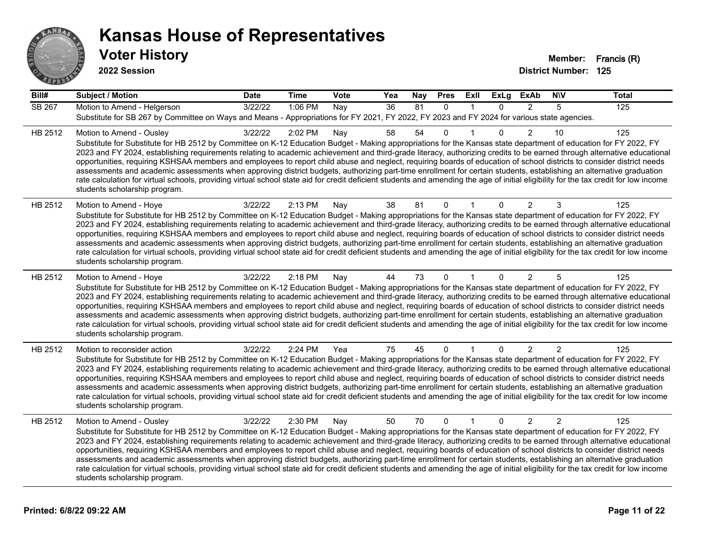

| Bill#   | <b>Subject / Motion</b>                                                                                                                                                                                                                                                                                                                                                                                                                                                                                                                                                                                                                                                                                                                                                                                                                                                                                                                             | <b>Date</b> | <b>Time</b> | Vote | Yea | Nay | <b>Pres</b>  | ExII         | <b>ExLg</b> | <b>ExAb</b>    | <b>NIV</b> | <b>Total</b> |
|---------|-----------------------------------------------------------------------------------------------------------------------------------------------------------------------------------------------------------------------------------------------------------------------------------------------------------------------------------------------------------------------------------------------------------------------------------------------------------------------------------------------------------------------------------------------------------------------------------------------------------------------------------------------------------------------------------------------------------------------------------------------------------------------------------------------------------------------------------------------------------------------------------------------------------------------------------------------------|-------------|-------------|------|-----|-----|--------------|--------------|-------------|----------------|------------|--------------|
| SB 267  | Motion to Amend - Helgerson<br>Substitute for SB 267 by Committee on Ways and Means - Appropriations for FY 2021, FY 2022, FY 2023 and FY 2024 for various state agencies.                                                                                                                                                                                                                                                                                                                                                                                                                                                                                                                                                                                                                                                                                                                                                                          | 3/22/22     | 1:06 PM     | Nay  | 36  | 81  | $\Omega$     | $\mathbf{1}$ | $\Omega$    | $\mathcal{P}$  | 5          | 125          |
| HB 2512 | Motion to Amend - Ousley<br>Substitute for Substitute for HB 2512 by Committee on K-12 Education Budget - Making appropriations for the Kansas state department of education for FY 2022, FY<br>2023 and FY 2024, establishing requirements relating to academic achievement and third-grade literacy, authorizing credits to be earned through alternative educational<br>opportunities, requiring KSHSAA members and employees to report child abuse and neglect, requiring boards of education of school districts to consider district needs<br>assessments and academic assessments when approving district budgets, authorizing part-time enrollment for certain students, establishing an alternative graduation<br>rate calculation for virtual schools, providing virtual school state aid for credit deficient students and amending the age of initial eligibility for the tax credit for low income<br>students scholarship program.    | 3/22/22     | 2:02 PM     | Nay  | 58  | 54  | 0            |              | 0           | $\overline{2}$ | 10         | 125          |
| HB 2512 | Motion to Amend - Hoye<br>Substitute for Substitute for HB 2512 by Committee on K-12 Education Budget - Making appropriations for the Kansas state department of education for FY 2022, FY<br>2023 and FY 2024, establishing requirements relating to academic achievement and third-grade literacy, authorizing credits to be earned through alternative educational<br>opportunities, requiring KSHSAA members and employees to report child abuse and neglect, requiring boards of education of school districts to consider district needs<br>assessments and academic assessments when approving district budgets, authorizing part-time enrollment for certain students, establishing an alternative graduation<br>rate calculation for virtual schools, providing virtual school state aid for credit deficient students and amending the age of initial eligibility for the tax credit for low income<br>students scholarship program.      | 3/22/22     | 2:13 PM     | Nay  | 38  | 81  | 0            |              | 0           | $\overline{2}$ | 3          | 125          |
| HB 2512 | Motion to Amend - Hoye<br>Substitute for Substitute for HB 2512 by Committee on K-12 Education Budget - Making appropriations for the Kansas state department of education for FY 2022, FY<br>2023 and FY 2024, establishing requirements relating to academic achievement and third-grade literacy, authorizing credits to be earned through alternative educational<br>opportunities, requiring KSHSAA members and employees to report child abuse and neglect, requiring boards of education of school districts to consider district needs<br>assessments and academic assessments when approving district budgets, authorizing part-time enrollment for certain students, establishing an alternative graduation<br>rate calculation for virtual schools, providing virtual school state aid for credit deficient students and amending the age of initial eligibility for the tax credit for low income<br>students scholarship program.      | 3/22/22     | 2:18 PM     | Nay  | 44  | 73  | 0            |              | $\Omega$    | 2              | 5          | 125          |
| HB 2512 | Motion to reconsider action<br>Substitute for Substitute for HB 2512 by Committee on K-12 Education Budget - Making appropriations for the Kansas state department of education for FY 2022, FY<br>2023 and FY 2024, establishing requirements relating to academic achievement and third-grade literacy, authorizing credits to be earned through alternative educational<br>opportunities, requiring KSHSAA members and employees to report child abuse and neglect, requiring boards of education of school districts to consider district needs<br>assessments and academic assessments when approving district budgets, authorizing part-time enrollment for certain students, establishing an alternative graduation<br>rate calculation for virtual schools, providing virtual school state aid for credit deficient students and amending the age of initial eligibility for the tax credit for low income<br>students scholarship program. | 3/22/22     | 2:24 PM     | Yea  | 75  | 45  | 0            |              | $\Omega$    | 2              | 2          | 125          |
| HB 2512 | Motion to Amend - Ousley<br>Substitute for Substitute for HB 2512 by Committee on K-12 Education Budget - Making appropriations for the Kansas state department of education for FY 2022, FY<br>2023 and FY 2024, establishing requirements relating to academic achievement and third-grade literacy, authorizing credits to be earned through alternative educational<br>opportunities, requiring KSHSAA members and employees to report child abuse and neglect, requiring boards of education of school districts to consider district needs<br>assessments and academic assessments when approving district budgets, authorizing part-time enrollment for certain students, establishing an alternative graduation<br>rate calculation for virtual schools, providing virtual school state aid for credit deficient students and amending the age of initial eligibility for the tax credit for low income<br>students scholarship program.    | 3/22/22     | 2:30 PM     | Nay  | 50  | 70  | $\mathbf{0}$ | $\mathbf{1}$ | $\Omega$    | $\overline{2}$ | 2          | 125          |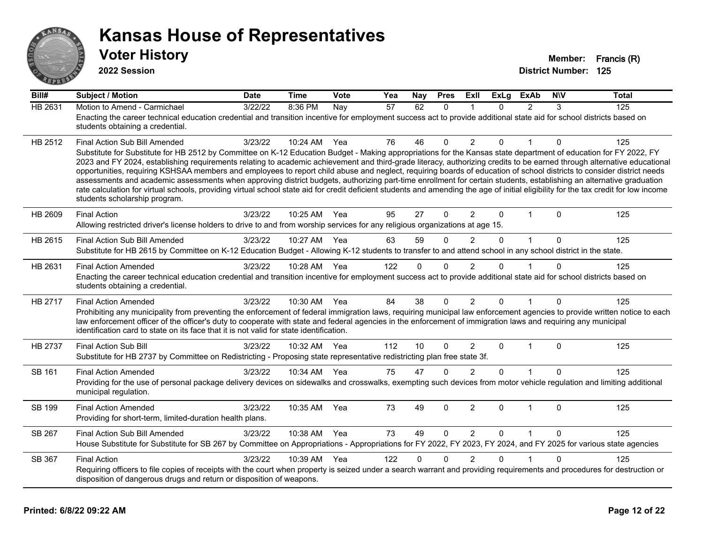

| Bill#   | <b>Subject / Motion</b>                                                                                                                                                                                                                                                                                                                                                                                                                                                                                                                                                                                                                                                                                                                                                                                                                                                                                                                               | Date    | <b>Time</b> | <b>Vote</b> | Yea             | Nay      | <b>Pres</b>  | <b>Exll</b>    | <b>ExLg</b> | <b>ExAb</b>    | <b>NIV</b> | <b>Total</b> |
|---------|-------------------------------------------------------------------------------------------------------------------------------------------------------------------------------------------------------------------------------------------------------------------------------------------------------------------------------------------------------------------------------------------------------------------------------------------------------------------------------------------------------------------------------------------------------------------------------------------------------------------------------------------------------------------------------------------------------------------------------------------------------------------------------------------------------------------------------------------------------------------------------------------------------------------------------------------------------|---------|-------------|-------------|-----------------|----------|--------------|----------------|-------------|----------------|------------|--------------|
| HB 2631 | Motion to Amend - Carmichael<br>Enacting the career technical education credential and transition incentive for employment success act to provide additional state aid for school districts based on<br>students obtaining a credential.                                                                                                                                                                                                                                                                                                                                                                                                                                                                                                                                                                                                                                                                                                              | 3/22/22 | 8:36 PM     | Nay         | $\overline{57}$ | 62       | $\Omega$     | 1              | $\Omega$    | $\overline{2}$ | 3          | 125          |
| HB 2512 | Final Action Sub Bill Amended<br>Substitute for Substitute for HB 2512 by Committee on K-12 Education Budget - Making appropriations for the Kansas state department of education for FY 2022, FY<br>2023 and FY 2024, establishing requirements relating to academic achievement and third-grade literacy, authorizing credits to be earned through alternative educational<br>opportunities, requiring KSHSAA members and employees to report child abuse and neglect, requiring boards of education of school districts to consider district needs<br>assessments and academic assessments when approving district budgets, authorizing part-time enrollment for certain students, establishing an alternative graduation<br>rate calculation for virtual schools, providing virtual school state aid for credit deficient students and amending the age of initial eligibility for the tax credit for low income<br>students scholarship program. | 3/23/22 | 10:24 AM    | Yea         | 76              | 46       | $\Omega$     | $\overline{2}$ | $\Omega$    |                | 0          | 125          |
| HB 2609 | <b>Final Action</b><br>Allowing restricted driver's license holders to drive to and from worship services for any religious organizations at age 15.                                                                                                                                                                                                                                                                                                                                                                                                                                                                                                                                                                                                                                                                                                                                                                                                  | 3/23/22 | 10:25 AM    | Yea         | 95              | 27       | $\mathbf{0}$ | $\overline{2}$ | $\Omega$    | 1              | $\Omega$   | 125          |
| HB 2615 | Final Action Sub Bill Amended<br>Substitute for HB 2615 by Committee on K-12 Education Budget - Allowing K-12 students to transfer to and attend school in any school district in the state.                                                                                                                                                                                                                                                                                                                                                                                                                                                                                                                                                                                                                                                                                                                                                          | 3/23/22 | 10:27 AM    | Yea         | 63              | 59       | $\Omega$     | 2              | $\Omega$    | $\mathbf{1}$   | $\Omega$   | 125          |
| HB 2631 | <b>Final Action Amended</b><br>Enacting the career technical education credential and transition incentive for employment success act to provide additional state aid for school districts based on<br>students obtaining a credential.                                                                                                                                                                                                                                                                                                                                                                                                                                                                                                                                                                                                                                                                                                               | 3/23/22 | 10:28 AM    | Yea         | 122             | $\Omega$ | $\mathbf 0$  | 2              | $\Omega$    |                | $\Omega$   | 125          |
| HB 2717 | <b>Final Action Amended</b><br>Prohibiting any municipality from preventing the enforcement of federal immigration laws, requiring municipal law enforcement agencies to provide written notice to each<br>law enforcement officer of the officer's duty to cooperate with state and federal agencies in the enforcement of immigration laws and requiring any municipal<br>identification card to state on its face that it is not valid for state identification.                                                                                                                                                                                                                                                                                                                                                                                                                                                                                   | 3/23/22 | 10:30 AM    | Yea         | 84              | 38       | $\Omega$     | $\overline{2}$ | $\Omega$    | 1              | $\Omega$   | 125          |
| HB 2737 | <b>Final Action Sub Bill</b><br>Substitute for HB 2737 by Committee on Redistricting - Proposing state representative redistricting plan free state 3f.                                                                                                                                                                                                                                                                                                                                                                                                                                                                                                                                                                                                                                                                                                                                                                                               | 3/23/22 | 10:32 AM    | Yea         | 112             | 10       | $\Omega$     | $\overline{2}$ | $\Omega$    | $\mathbf{1}$   | $\Omega$   | 125          |
| SB 161  | <b>Final Action Amended</b><br>Providing for the use of personal package delivery devices on sidewalks and crosswalks, exempting such devices from motor vehicle regulation and limiting additional<br>municipal regulation.                                                                                                                                                                                                                                                                                                                                                                                                                                                                                                                                                                                                                                                                                                                          | 3/23/22 | 10:34 AM    | Yea         | 75              | 47       | $\Omega$     | $\mathcal{P}$  | $\Omega$    |                | $\Omega$   | 125          |
| SB 199  | <b>Final Action Amended</b><br>Providing for short-term, limited-duration health plans.                                                                                                                                                                                                                                                                                                                                                                                                                                                                                                                                                                                                                                                                                                                                                                                                                                                               | 3/23/22 | 10:35 AM    | Yea         | 73              | 49       | 0            | $\overline{2}$ | $\Omega$    | $\mathbf{1}$   | $\Omega$   | 125          |
| SB 267  | Final Action Sub Bill Amended<br>House Substitute for Substitute for SB 267 by Committee on Appropriations - Appropriations for FY 2022, FY 2023, FY 2024, and FY 2025 for various state agencies                                                                                                                                                                                                                                                                                                                                                                                                                                                                                                                                                                                                                                                                                                                                                     | 3/23/22 | 10:38 AM    | Yea         | 73              | 49       | $\Omega$     | 2              | $\Omega$    | $\mathbf{1}$   | $\Omega$   | 125          |
| SB 367  | <b>Final Action</b><br>Requiring officers to file copies of receipts with the court when property is seized under a search warrant and providing requirements and procedures for destruction or<br>disposition of dangerous drugs and return or disposition of weapons.                                                                                                                                                                                                                                                                                                                                                                                                                                                                                                                                                                                                                                                                               | 3/23/22 | 10:39 AM    | Yea         | 122             | $\Omega$ | $\Omega$     | $\overline{2}$ | $\Omega$    | 1              | $\Omega$   | 125          |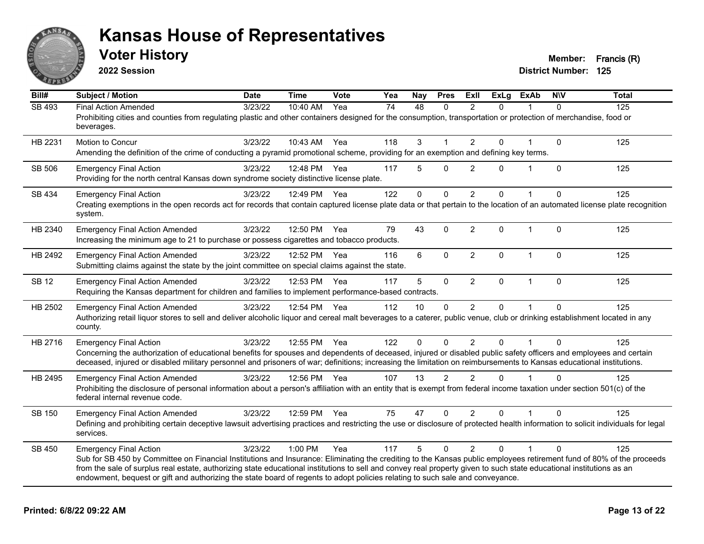

**2022 Session**

| Bill#         | <b>Subject / Motion</b>                                                                                                                                                                                                                                                                                                                                                                                                                                                                                        | <b>Date</b> | <b>Time</b>  | Vote | Yea | Nay      | <b>Pres</b>    | ExII           | <b>ExLg</b> | <b>ExAb</b>    | <b>NIV</b>   | <b>Total</b> |
|---------------|----------------------------------------------------------------------------------------------------------------------------------------------------------------------------------------------------------------------------------------------------------------------------------------------------------------------------------------------------------------------------------------------------------------------------------------------------------------------------------------------------------------|-------------|--------------|------|-----|----------|----------------|----------------|-------------|----------------|--------------|--------------|
| <b>SB 493</b> | <b>Final Action Amended</b><br>Prohibiting cities and counties from regulating plastic and other containers designed for the consumption, transportation or protection of merchandise, food or<br>beverages.                                                                                                                                                                                                                                                                                                   | 3/23/22     | 10:40 AM     | Yea  | 74  | 48       | $\Omega$       | $\mathfrak{p}$ | $\Omega$    |                | $\Omega$     | 125          |
| HB 2231       | <b>Motion to Concur</b><br>Amending the definition of the crime of conducting a pyramid promotional scheme, providing for an exemption and defining key terms.                                                                                                                                                                                                                                                                                                                                                 | 3/23/22     | 10:43 AM     | Yea  | 118 | 3        | 1              | $\overline{2}$ | 0           |                | $\mathbf{0}$ | 125          |
| SB 506        | <b>Emergency Final Action</b><br>Providing for the north central Kansas down syndrome society distinctive license plate.                                                                                                                                                                                                                                                                                                                                                                                       | 3/23/22     | 12:48 PM     | Yea  | 117 | 5        | $\Omega$       | 2              | 0           |                | $\mathbf{0}$ | 125          |
| SB 434        | <b>Emergency Final Action</b><br>Creating exemptions in the open records act for records that contain captured license plate data or that pertain to the location of an automated license plate recognition<br>system.                                                                                                                                                                                                                                                                                         | 3/23/22     | 12:49 PM     | Yea  | 122 | 0        | 0              | $\overline{2}$ | 0           |                | $\mathbf 0$  | 125          |
| HB 2340       | <b>Emergency Final Action Amended</b><br>Increasing the minimum age to 21 to purchase or possess cigarettes and tobacco products.                                                                                                                                                                                                                                                                                                                                                                              | 3/23/22     | 12:50 PM     | Yea  | 79  | 43       | $\pmb{0}$      | $\overline{2}$ | 0           | $\overline{1}$ | $\Omega$     | 125          |
| HB 2492       | <b>Emergency Final Action Amended</b><br>Submitting claims against the state by the joint committee on special claims against the state.                                                                                                                                                                                                                                                                                                                                                                       | 3/23/22     | 12:52 PM     | Yea  | 116 | 6        | $\mathbf 0$    | $\overline{2}$ | 0           | $\mathbf{1}$   | $\mathbf{0}$ | 125          |
| <b>SB 12</b>  | <b>Emergency Final Action Amended</b><br>Requiring the Kansas department for children and families to implement performance-based contracts.                                                                                                                                                                                                                                                                                                                                                                   | 3/23/22     | 12:53 PM     | Yea  | 117 | 5        | $\mathbf 0$    | 2              | $\Omega$    | $\mathbf{1}$   | $\mathbf{0}$ | 125          |
| HB 2502       | <b>Emergency Final Action Amended</b><br>Authorizing retail liquor stores to sell and deliver alcoholic liquor and cereal malt beverages to a caterer, public venue, club or drinking establishment located in any<br>county.                                                                                                                                                                                                                                                                                  | 3/23/22     | 12:54 PM Yea |      | 112 | 10       | $\mathbf{0}$   | $\overline{2}$ | $\Omega$    |                | $\Omega$     | 125          |
| HB 2716       | <b>Emergency Final Action</b><br>Concerning the authorization of educational benefits for spouses and dependents of deceased, injured or disabled public safety officers and employees and certain<br>deceased, injured or disabled military personnel and prisoners of war; definitions; increasing the limitation on reimbursements to Kansas educational institutions.                                                                                                                                      | 3/23/22     | 12:55 PM     | Yea  | 122 | $\Omega$ | $\Omega$       | $\overline{2}$ | 0           |                | $\Omega$     | 125          |
| HB 2495       | <b>Emergency Final Action Amended</b><br>Prohibiting the disclosure of personal information about a person's affiliation with an entity that is exempt from federal income taxation under section 501(c) of the<br>federal internal revenue code.                                                                                                                                                                                                                                                              | 3/23/22     | 12:56 PM Yea |      | 107 | 13       | $\overline{2}$ | $\mathfrak{p}$ | $\Omega$    |                | $\Omega$     | 125          |
| SB 150        | <b>Emergency Final Action Amended</b><br>Defining and prohibiting certain deceptive lawsuit advertising practices and restricting the use or disclosure of protected health information to solicit individuals for legal<br>services.                                                                                                                                                                                                                                                                          | 3/23/22     | 12:59 PM     | Yea  | 75  | 47       | $\mathbf{0}$   | $\overline{2}$ | 0           |                | $\Omega$     | 125          |
| SB 450        | <b>Emergency Final Action</b><br>Sub for SB 450 by Committee on Financial Institutions and Insurance: Eliminating the crediting to the Kansas public employees retirement fund of 80% of the proceeds<br>from the sale of surplus real estate, authorizing state educational institutions to sell and convey real property given to such state educational institutions as an<br>endowment, bequest or gift and authorizing the state board of regents to adopt policies relating to such sale and conveyance. | 3/23/22     | 1:00 PM      | Yea  | 117 | 5        | $\mathbf{0}$   | $\overline{2}$ | $\Omega$    |                | $\Omega$     | 125          |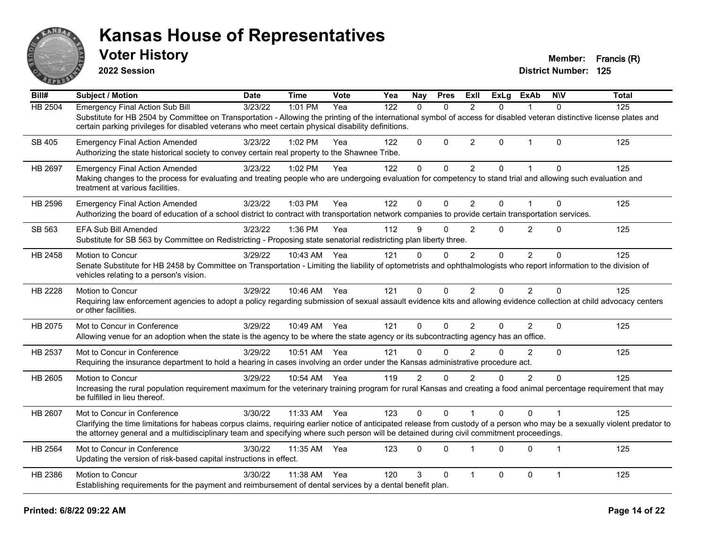

**2022 Session**

| Bill#          | <b>Subject / Motion</b>                                                                                                                                                                                                                                                                                                  | <b>Date</b> | <b>Time</b>  | Vote | Yea | Nay            | <b>Pres</b>  | ExII           | <b>ExLg</b> | <b>ExAb</b>    | <b>NIV</b>     | <b>Total</b> |
|----------------|--------------------------------------------------------------------------------------------------------------------------------------------------------------------------------------------------------------------------------------------------------------------------------------------------------------------------|-------------|--------------|------|-----|----------------|--------------|----------------|-------------|----------------|----------------|--------------|
| <b>HB 2504</b> | <b>Emergency Final Action Sub Bill</b>                                                                                                                                                                                                                                                                                   | 3/23/22     | 1:01 PM      | Yea  | 122 | $\Omega$       | $\Omega$     | $\mathfrak{p}$ | $\Omega$    |                | $\Omega$       | 125          |
|                | Substitute for HB 2504 by Committee on Transportation - Allowing the printing of the international symbol of access for disabled veteran distinctive license plates and<br>certain parking privileges for disabled veterans who meet certain physical disability definitions.                                            |             |              |      |     |                |              |                |             |                |                |              |
|                |                                                                                                                                                                                                                                                                                                                          |             |              |      |     |                |              |                |             |                |                |              |
| SB 405         | <b>Emergency Final Action Amended</b>                                                                                                                                                                                                                                                                                    | 3/23/22     | 1:02 PM      | Yea  | 122 | 0              | $\Omega$     | $\overline{2}$ | $\Omega$    | 1              | $\Omega$       | 125          |
|                | Authorizing the state historical society to convey certain real property to the Shawnee Tribe.                                                                                                                                                                                                                           |             |              |      |     |                |              |                |             |                |                |              |
| <b>HB 2697</b> | <b>Emergency Final Action Amended</b>                                                                                                                                                                                                                                                                                    | 3/23/22     | 1:02 PM      | Yea  | 122 | $\mathbf 0$    | $\Omega$     | $\overline{2}$ | $\Omega$    | 1              | $\Omega$       | 125          |
|                | Making changes to the process for evaluating and treating people who are undergoing evaluation for competency to stand trial and allowing such evaluation and<br>treatment at various facilities.                                                                                                                        |             |              |      |     |                |              |                |             |                |                |              |
| HB 2596        | <b>Emergency Final Action Amended</b>                                                                                                                                                                                                                                                                                    | 3/23/22     | 1:03 PM      | Yea  | 122 | $\mathbf{0}$   | $\mathbf{0}$ | $\overline{2}$ | $\Omega$    |                | $\mathbf{0}$   | 125          |
|                | Authorizing the board of education of a school district to contract with transportation network companies to provide certain transportation services.                                                                                                                                                                    |             |              |      |     |                |              |                |             |                |                |              |
| SB 563         | <b>EFA Sub Bill Amended</b>                                                                                                                                                                                                                                                                                              | 3/23/22     | 1:36 PM      | Yea  | 112 | 9              | $\Omega$     | $\overline{2}$ | $\Omega$    | $\overline{2}$ | $\Omega$       | 125          |
|                | Substitute for SB 563 by Committee on Redistricting - Proposing state senatorial redistricting plan liberty three.                                                                                                                                                                                                       |             |              |      |     |                |              |                |             |                |                |              |
| HB 2458        | Motion to Concur                                                                                                                                                                                                                                                                                                         | 3/29/22     | 10:43 AM     | Yea  | 121 | $\Omega$       | $\Omega$     | 2              | $\Omega$    | 2              | $\Omega$       | 125          |
|                | Senate Substitute for HB 2458 by Committee on Transportation - Limiting the liability of optometrists and ophthalmologists who report information to the division of<br>vehicles relating to a person's vision.                                                                                                          |             |              |      |     |                |              |                |             |                |                |              |
| HB 2228        | Motion to Concur                                                                                                                                                                                                                                                                                                         | 3/29/22     | 10:46 AM Yea |      | 121 | 0              | 0            | $\overline{2}$ | 0           | $\overline{2}$ | $\Omega$       | 125          |
|                | Requiring law enforcement agencies to adopt a policy regarding submission of sexual assault evidence kits and allowing evidence collection at child advocacy centers<br>or other facilities.                                                                                                                             |             |              |      |     |                |              |                |             |                |                |              |
| HB 2075        | Mot to Concur in Conference                                                                                                                                                                                                                                                                                              | 3/29/22     | 10:49 AM     | Yea  | 121 | $\mathbf{0}$   | $\Omega$     | 2              | 0           | $\overline{2}$ | $\Omega$       | 125          |
|                | Allowing venue for an adoption when the state is the agency to be where the state agency or its subcontracting agency has an office.                                                                                                                                                                                     |             |              |      |     |                |              |                |             |                |                |              |
| HB 2537        | Mot to Concur in Conference                                                                                                                                                                                                                                                                                              | 3/29/22     | 10:51 AM     | Yea  | 121 | $\Omega$       | $\Omega$     | $\mathfrak{p}$ | $\Omega$    | $\mathcal{P}$  | $\Omega$       | 125          |
|                | Requiring the insurance department to hold a hearing in cases involving an order under the Kansas administrative procedure act.                                                                                                                                                                                          |             |              |      |     |                |              |                |             |                |                |              |
| HB 2605        | Motion to Concur                                                                                                                                                                                                                                                                                                         | 3/29/22     | 10:54 AM     | Yea  | 119 | $\overline{c}$ | 0            | $\overline{2}$ | 0           | $\overline{2}$ | $\mathbf 0$    | 125          |
|                | Increasing the rural population requirement maximum for the veterinary training program for rural Kansas and creating a food animal percentage requirement that may<br>be fulfilled in lieu thereof.                                                                                                                     |             |              |      |     |                |              |                |             |                |                |              |
| HB 2607        | Mot to Concur in Conference                                                                                                                                                                                                                                                                                              | 3/30/22     | 11:33 AM     | Yea  | 123 | $\mathbf{0}$   | $\Omega$     |                | $\Omega$    | $\Omega$       |                | 125          |
|                | Clarifying the time limitations for habeas corpus claims, requiring earlier notice of anticipated release from custody of a person who may be a sexually violent predator to<br>the attorney general and a multidisciplinary team and specifying where such person will be detained during civil commitment proceedings. |             |              |      |     |                |              |                |             |                |                |              |
| HB 2564        | Mot to Concur in Conference                                                                                                                                                                                                                                                                                              | 3/30/22     | 11:35 AM     | Yea  | 123 | $\mathbf{0}$   | $\Omega$     |                | $\Omega$    | $\Omega$       | $\overline{1}$ | 125          |
|                | Updating the version of risk-based capital instructions in effect.                                                                                                                                                                                                                                                       |             |              |      |     |                |              |                |             |                |                |              |
| HB 2386        | <b>Motion to Concur</b>                                                                                                                                                                                                                                                                                                  | 3/30/22     | 11:38 AM     | Yea  | 120 | 3              | $\Omega$     | -1             | 0           | $\mathbf 0$    | $\mathbf{1}$   | 125          |
|                | Establishing requirements for the payment and reimbursement of dental services by a dental benefit plan.                                                                                                                                                                                                                 |             |              |      |     |                |              |                |             |                |                |              |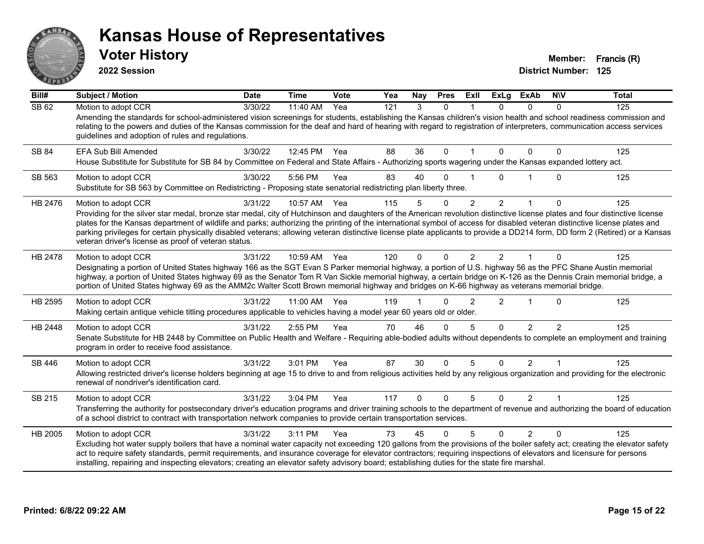

**2022 Session**

| Bill#   | <b>Subject / Motion</b>                                                                                                                                                                                                                                                                                                                                                                                                                                                                                                                                                                                                 | <b>Date</b> | <b>Time</b> | Vote | Yea | Nay         | <b>Pres</b>  | <b>ExII</b>             | <b>ExLg</b>    | <b>ExAb</b>    | <b>NIV</b>    | <b>Total</b> |
|---------|-------------------------------------------------------------------------------------------------------------------------------------------------------------------------------------------------------------------------------------------------------------------------------------------------------------------------------------------------------------------------------------------------------------------------------------------------------------------------------------------------------------------------------------------------------------------------------------------------------------------------|-------------|-------------|------|-----|-------------|--------------|-------------------------|----------------|----------------|---------------|--------------|
| SB62    | Motion to adopt CCR<br>Amending the standards for school-administered vision screenings for students, establishing the Kansas children's vision health and school readiness commission and<br>relating to the powers and duties of the Kansas commission for the deaf and hard of hearing with regard to registration of interpreters, communication access services<br>guidelines and adoption of rules and regulations.                                                                                                                                                                                               | 3/30/22     | 11:40 AM    | Yea  | 121 | 3           | $\Omega$     |                         | $\Omega$       | $\Omega$       | $\Omega$      | 125          |
| SB 84   | <b>EFA Sub Bill Amended</b><br>House Substitute for Substitute for SB 84 by Committee on Federal and State Affairs - Authorizing sports wagering under the Kansas expanded lottery act.                                                                                                                                                                                                                                                                                                                                                                                                                                 | 3/30/22     | 12:45 PM    | Yea  | 88  | 36          | $\mathbf{0}$ | $\overline{\mathbf{1}}$ | $\mathbf{0}$   | $\mathbf{0}$   | 0             | 125          |
| SB 563  | Motion to adopt CCR<br>Substitute for SB 563 by Committee on Redistricting - Proposing state senatorial redistricting plan liberty three.                                                                                                                                                                                                                                                                                                                                                                                                                                                                               | 3/30/22     | 5:56 PM     | Yea  | 83  | 40          | $\Omega$     |                         | 0              |                | 0             | 125          |
| HB 2476 | Motion to adopt CCR<br>Providing for the silver star medal, bronze star medal, city of Hutchinson and daughters of the American revolution distinctive license plates and four distinctive license<br>plates for the Kansas department of wildlife and parks; authorizing the printing of the international symbol of access for disabled veteran distinctive license plates and<br>parking privileges for certain physically disabled veterans; allowing veteran distinctive license plate applicants to provide a DD214 form, DD form 2 (Retired) or a Kansas<br>veteran driver's license as proof of veteran status. | 3/31/22     | 10:57 AM    | Yea  | 115 | 5           | $\Omega$     | $\overline{2}$          | $\overline{2}$ | $\mathbf{1}$   | $\mathbf{0}$  | 125          |
| HB 2478 | Motion to adopt CCR<br>Designating a portion of United States highway 166 as the SGT Evan S Parker memorial highway, a portion of U.S. highway 56 as the PFC Shane Austin memorial<br>highway, a portion of United States highway 69 as the Senator Tom R Van Sickle memorial highway, a certain bridge on K-126 as the Dennis Crain memorial bridge, a<br>portion of United States highway 69 as the AMM2c Walter Scott Brown memorial highway and bridges on K-66 highway as veterans memorial bridge.                                                                                                                | 3/31/22     | 10:59 AM    | Yea  | 120 | $\Omega$    | $\Omega$     | $\mathcal{P}$           | $\mathcal{P}$  |                | 0             | 125          |
| HB 2595 | Motion to adopt CCR<br>Making certain antique vehicle titling procedures applicable to vehicles having a model year 60 years old or older.                                                                                                                                                                                                                                                                                                                                                                                                                                                                              | 3/31/22     | 11:00 AM    | Yea  | 119 |             | $\Omega$     | $\mathcal{P}$           | $\overline{2}$ |                | $\mathbf{0}$  | 125          |
| HB 2448 | Motion to adopt CCR<br>Senate Substitute for HB 2448 by Committee on Public Health and Welfare - Requiring able-bodied adults without dependents to complete an employment and training<br>program in order to receive food assistance.                                                                                                                                                                                                                                                                                                                                                                                 | 3/31/22     | 2:55 PM     | Yea  | 70  | 46          | $\Omega$     | 5                       | $\Omega$       | $\mathcal{P}$  | $\mathcal{P}$ | 125          |
| SB 446  | Motion to adopt CCR<br>Allowing restricted driver's license holders beginning at age 15 to drive to and from religious activities held by any religious organization and providing for the electronic<br>renewal of nondriver's identification card.                                                                                                                                                                                                                                                                                                                                                                    | 3/31/22     | 3:01 PM     | Yea  | 87  | 30          | $\Omega$     | 5                       | $\Omega$       | $\overline{2}$ |               | 125          |
| SB 215  | Motion to adopt CCR<br>Transferring the authority for postsecondary driver's education programs and driver training schools to the department of revenue and authorizing the board of education<br>of a school district to contract with transportation network companies to provide certain transportation services.                                                                                                                                                                                                                                                                                                   | 3/31/22     | 3:04 PM     | Yea  | 117 | $\mathbf 0$ | $\Omega$     | 5                       | $\Omega$       | $\overline{2}$ |               | 125          |
| HB 2005 | Motion to adopt CCR<br>Excluding hot water supply boilers that have a nominal water capacity not exceeding 120 gallons from the provisions of the boiler safety act; creating the elevator safety<br>act to require safety standards, permit requirements, and insurance coverage for elevator contractors; requiring inspections of elevators and licensure for persons<br>installing, repairing and inspecting elevators; creating an elevator safety advisory board; establishing duties for the state fire marshal.                                                                                                 | 3/31/22     | 3:11 PM     | Yea  | 73  | 45          | $\Omega$     | 5                       | $\Omega$       | $\overline{2}$ | $\Omega$      | 125          |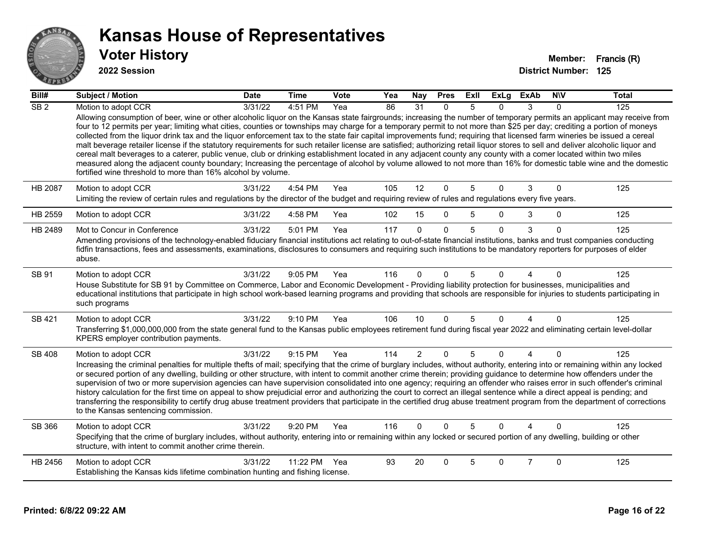

| Bill#           | <b>Subject / Motion</b>                                                                                                                                                                                                                                                                                                                                                                                                                                                                                                                                                                                                                                                                                                                                                                                                                                                                                                                                                                                                                                                                                                   | <b>Date</b> | <b>Time</b> | Vote | Yea | <b>Nay</b>     | <b>Pres</b>  | ExII | ExLg     | <b>ExAb</b>    | <b>NIV</b>   | <b>Total</b> |
|-----------------|---------------------------------------------------------------------------------------------------------------------------------------------------------------------------------------------------------------------------------------------------------------------------------------------------------------------------------------------------------------------------------------------------------------------------------------------------------------------------------------------------------------------------------------------------------------------------------------------------------------------------------------------------------------------------------------------------------------------------------------------------------------------------------------------------------------------------------------------------------------------------------------------------------------------------------------------------------------------------------------------------------------------------------------------------------------------------------------------------------------------------|-------------|-------------|------|-----|----------------|--------------|------|----------|----------------|--------------|--------------|
| SB <sub>2</sub> | Motion to adopt CCR                                                                                                                                                                                                                                                                                                                                                                                                                                                                                                                                                                                                                                                                                                                                                                                                                                                                                                                                                                                                                                                                                                       | 3/31/22     | 4:51 PM     | Yea  | 86  | 31             | $\Omega$     | 5    | 0        | 3              | $\Omega$     | 125          |
|                 | Allowing consumption of beer, wine or other alcoholic liquor on the Kansas state fairgrounds; increasing the number of temporary permits an applicant may receive from<br>four to 12 permits per year; limiting what cities, counties or townships may charge for a temporary permit to not more than \$25 per day; crediting a portion of moneys<br>collected from the liquor drink tax and the liquor enforcement tax to the state fair capital improvements fund; requiring that licensed farm wineries be issued a cereal<br>malt beverage retailer license if the statutory requirements for such retailer license are satisfied; authorizing retail liquor stores to sell and deliver alcoholic liquor and<br>cereal malt beverages to a caterer, public venue, club or drinking establishment located in any adjacent county any county with a comer located within two miles<br>measured along the adjacent county boundary; Increasing the percentage of alcohol by volume allowed to not more than 16% for domestic table wine and the domestic<br>fortified wine threshold to more than 16% alcohol by volume. |             |             |      |     |                |              |      |          |                |              |              |
| <b>HB 2087</b>  | Motion to adopt CCR                                                                                                                                                                                                                                                                                                                                                                                                                                                                                                                                                                                                                                                                                                                                                                                                                                                                                                                                                                                                                                                                                                       | 3/31/22     | 4:54 PM     | Yea  | 105 | 12             | $\mathbf 0$  | 5    | $\Omega$ | 3              | $\mathbf 0$  | 125          |
|                 | Limiting the review of certain rules and regulations by the director of the budget and requiring review of rules and regulations every five years.                                                                                                                                                                                                                                                                                                                                                                                                                                                                                                                                                                                                                                                                                                                                                                                                                                                                                                                                                                        |             |             |      |     |                |              |      |          |                |              |              |
| HB 2559         | Motion to adopt CCR                                                                                                                                                                                                                                                                                                                                                                                                                                                                                                                                                                                                                                                                                                                                                                                                                                                                                                                                                                                                                                                                                                       | 3/31/22     | 4:58 PM     | Yea  | 102 | 15             | $\Omega$     | 5    | $\Omega$ | 3              | $\mathbf{0}$ | 125          |
| HB 2489         | Mot to Concur in Conference                                                                                                                                                                                                                                                                                                                                                                                                                                                                                                                                                                                                                                                                                                                                                                                                                                                                                                                                                                                                                                                                                               | 3/31/22     | 5:01 PM     | Yea  | 117 | $\Omega$       | $\Omega$     | 5    | $\Omega$ | 3              | $\Omega$     | 125          |
|                 | Amending provisions of the technology-enabled fiduciary financial institutions act relating to out-of-state financial institutions, banks and trust companies conducting<br>fidfin transactions, fees and assessments, examinations, disclosures to consumers and requiring such institutions to be mandatory reporters for purposes of elder<br>abuse.                                                                                                                                                                                                                                                                                                                                                                                                                                                                                                                                                                                                                                                                                                                                                                   |             |             |      |     |                |              |      |          |                |              |              |
| SB 91           | Motion to adopt CCR<br>House Substitute for SB 91 by Committee on Commerce, Labor and Economic Development - Providing liability protection for businesses, municipalities and<br>educational institutions that participate in high school work-based learning programs and providing that schools are responsible for injuries to students participating in<br>such programs                                                                                                                                                                                                                                                                                                                                                                                                                                                                                                                                                                                                                                                                                                                                             | 3/31/22     | 9:05 PM     | Yea  | 116 | $\Omega$       | $\Omega$     | 5    | 0        |                | $\Omega$     | 125          |
| SB 421          | Motion to adopt CCR                                                                                                                                                                                                                                                                                                                                                                                                                                                                                                                                                                                                                                                                                                                                                                                                                                                                                                                                                                                                                                                                                                       | 3/31/22     | 9:10 PM     | Yea  | 106 | 10             | $\Omega$     | 5    | $\Omega$ | 4              | $\Omega$     | 125          |
|                 | Transferring \$1,000,000,000 from the state general fund to the Kansas public employees retirement fund during fiscal year 2022 and eliminating certain level-dollar<br>KPERS employer contribution payments.                                                                                                                                                                                                                                                                                                                                                                                                                                                                                                                                                                                                                                                                                                                                                                                                                                                                                                             |             |             |      |     |                |              |      |          |                |              |              |
| <b>SB 408</b>   | Motion to adopt CCR                                                                                                                                                                                                                                                                                                                                                                                                                                                                                                                                                                                                                                                                                                                                                                                                                                                                                                                                                                                                                                                                                                       | 3/31/22     | 9:15 PM     | Yea  | 114 | $\overline{2}$ | $\mathbf{0}$ | 5    | $\Omega$ | $\overline{4}$ | $\Omega$     | 125          |
|                 | Increasing the criminal penalties for multiple thefts of mail; specifying that the crime of burglary includes, without authority, entering into or remaining within any locked<br>or secured portion of any dwelling, building or other structure, with intent to commit another crime therein; providing guidance to determine how offenders under the<br>supervision of two or more supervision agencies can have supervision consolidated into one agency; requiring an offender who raises error in such offender's criminal<br>history calculation for the first time on appeal to show prejudicial error and authorizing the court to correct an illegal sentence while a direct appeal is pending; and<br>transferring the responsibility to certify drug abuse treatment providers that participate in the certified drug abuse treatment program from the department of corrections<br>to the Kansas sentencing commission.                                                                                                                                                                                      |             |             |      |     |                |              |      |          |                |              |              |
| SB 366          | Motion to adopt CCR                                                                                                                                                                                                                                                                                                                                                                                                                                                                                                                                                                                                                                                                                                                                                                                                                                                                                                                                                                                                                                                                                                       | 3/31/22     | 9:20 PM     | Yea  | 116 | $\Omega$       | $\Omega$     | 5    | $\Omega$ |                | $\Omega$     | 125          |
|                 | Specifying that the crime of burglary includes, without authority, entering into or remaining within any locked or secured portion of any dwelling, building or other<br>structure, with intent to commit another crime therein.                                                                                                                                                                                                                                                                                                                                                                                                                                                                                                                                                                                                                                                                                                                                                                                                                                                                                          |             |             |      |     |                |              |      |          |                |              |              |
| HB 2456         | Motion to adopt CCR                                                                                                                                                                                                                                                                                                                                                                                                                                                                                                                                                                                                                                                                                                                                                                                                                                                                                                                                                                                                                                                                                                       | 3/31/22     | 11:22 PM    | Yea  | 93  | 20             | $\Omega$     | 5    | 0        | $\overline{7}$ | $\mathbf 0$  | 125          |
|                 | Establishing the Kansas kids lifetime combination hunting and fishing license.                                                                                                                                                                                                                                                                                                                                                                                                                                                                                                                                                                                                                                                                                                                                                                                                                                                                                                                                                                                                                                            |             |             |      |     |                |              |      |          |                |              |              |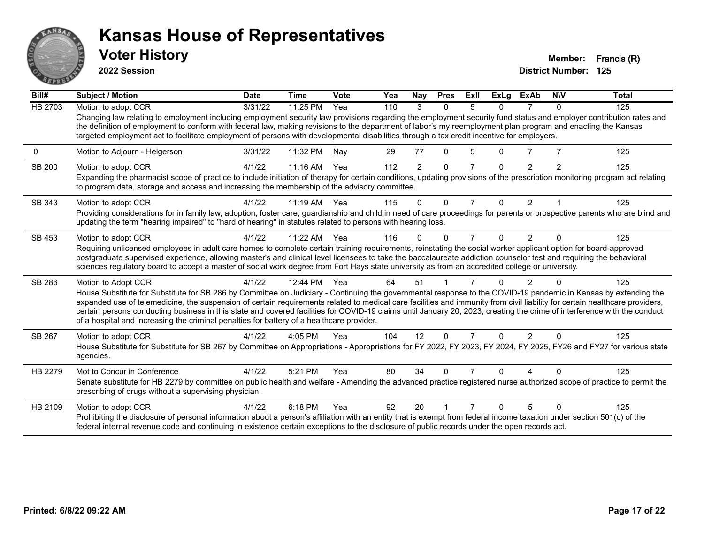

**2022 Session**

| Bill#          | Subject / Motion                                                                                                                                                                                                                                                                                                                                                                                                                                                                                                                                                                                                        | <b>Date</b> | <b>Time</b> | <b>Vote</b> | Yea | <b>Nay</b>     | <b>Pres</b>  | ExII           | <b>ExLg</b> | <b>ExAb</b>   | <b>NIV</b> | <b>Total</b> |
|----------------|-------------------------------------------------------------------------------------------------------------------------------------------------------------------------------------------------------------------------------------------------------------------------------------------------------------------------------------------------------------------------------------------------------------------------------------------------------------------------------------------------------------------------------------------------------------------------------------------------------------------------|-------------|-------------|-------------|-----|----------------|--------------|----------------|-------------|---------------|------------|--------------|
| <b>HB 2703</b> | Motion to adopt CCR                                                                                                                                                                                                                                                                                                                                                                                                                                                                                                                                                                                                     | 3/31/22     | 11:25 PM    | Yea         | 110 | 3              | $\Omega$     | $\overline{5}$ | 0           |               | $\Omega$   | 125          |
|                | Changing law relating to employment including employment security law provisions regarding the employment security fund status and employer contribution rates and<br>the definition of employment to conform with federal law, making revisions to the department of labor's my reemployment plan program and enacting the Kansas<br>targeted employment act to facilitate employment of persons with developmental disabilities through a tax credit incentive for employers.                                                                                                                                         |             |             |             |     |                |              |                |             |               |            |              |
| 0              | Motion to Adjourn - Helgerson                                                                                                                                                                                                                                                                                                                                                                                                                                                                                                                                                                                           | 3/31/22     | 11:32 PM    | Nav         | 29  | 77             | $\Omega$     | 5              | 0           |               |            | 125          |
| <b>SB 200</b>  | Motion to adopt CCR                                                                                                                                                                                                                                                                                                                                                                                                                                                                                                                                                                                                     | 4/1/22      | 11:16 AM    | Yea         | 112 | $\overline{2}$ | $\Omega$     | 7              | 0           | 2             | 2          | 125          |
|                | Expanding the pharmacist scope of practice to include initiation of therapy for certain conditions, updating provisions of the prescription monitoring program act relating<br>to program data, storage and access and increasing the membership of the advisory committee.                                                                                                                                                                                                                                                                                                                                             |             |             |             |     |                |              |                |             |               |            |              |
| SB 343         | Motion to adopt CCR                                                                                                                                                                                                                                                                                                                                                                                                                                                                                                                                                                                                     | 4/1/22      | 11:19 AM    | Yea         | 115 | $\Omega$       | $\Omega$     | $\overline{7}$ | 0           | 2             |            | 125          |
|                | Providing considerations for in family law, adoption, foster care, guardianship and child in need of care proceedings for parents or prospective parents who are blind and<br>updating the term "hearing impaired" to "hard of hearing" in statutes related to persons with hearing loss.                                                                                                                                                                                                                                                                                                                               |             |             |             |     |                |              |                |             |               |            |              |
| SB 453         | Motion to adopt CCR                                                                                                                                                                                                                                                                                                                                                                                                                                                                                                                                                                                                     | 4/1/22      | 11:22 AM    | Yea         | 116 | $\Omega$       | O            | 7              | 0           | $\mathcal{P}$ | $\Omega$   | 125          |
|                | Requiring unlicensed employees in adult care homes to complete certain training requirements, reinstating the social worker applicant option for board-approved<br>postgraduate supervised experience, allowing master's and clinical level licensees to take the baccalaureate addiction counselor test and requiring the behavioral<br>sciences regulatory board to accept a master of social work degree from Fort Hays state university as from an accredited college or university.                                                                                                                                |             |             |             |     |                |              |                |             |               |            |              |
| SB 286         | Motion to Adopt CCR                                                                                                                                                                                                                                                                                                                                                                                                                                                                                                                                                                                                     | 4/1/22      | 12:44 PM    | Yea         | 64  | 51             |              |                |             |               |            | 125          |
|                | House Substitute for Substitute for SB 286 by Committee on Judiciary - Continuing the governmental response to the COVID-19 pandemic in Kansas by extending the<br>expanded use of telemedicine, the suspension of certain requirements related to medical care facilities and immunity from civil liability for certain healthcare providers,<br>certain persons conducting business in this state and covered facilities for COVID-19 claims until January 20, 2023, creating the crime of interference with the conduct<br>of a hospital and increasing the criminal penalties for battery of a healthcare provider. |             |             |             |     |                |              |                |             |               |            |              |
| SB 267         | Motion to adopt CCR                                                                                                                                                                                                                                                                                                                                                                                                                                                                                                                                                                                                     | 4/1/22      | 4:05 PM     | Yea         | 104 | 12             | $\Omega$     | 7              | $\Omega$    | $\mathcal{P}$ | $\Omega$   | 125          |
|                | House Substitute for Substitute for SB 267 by Committee on Appropriations - Appropriations for FY 2022, FY 2023, FY 2024, FY 2025, FY26 and FY27 for various state<br>agencies.                                                                                                                                                                                                                                                                                                                                                                                                                                         |             |             |             |     |                |              |                |             |               |            |              |
| HB 2279        | Mot to Concur in Conference                                                                                                                                                                                                                                                                                                                                                                                                                                                                                                                                                                                             | 4/1/22      | 5:21 PM     | Yea         | 80  | 34             | <sup>0</sup> |                | U           |               |            | 125          |
|                | Senate substitute for HB 2279 by committee on public health and welfare - Amending the advanced practice registered nurse authorized scope of practice to permit the<br>prescribing of drugs without a supervising physician.                                                                                                                                                                                                                                                                                                                                                                                           |             |             |             |     |                |              |                |             |               |            |              |
| HB 2109        | Motion to adopt CCR                                                                                                                                                                                                                                                                                                                                                                                                                                                                                                                                                                                                     | 4/1/22      | 6:18 PM     | Yea         | 92  | 20             |              |                |             |               | $\Omega$   | 125          |
|                | Prohibiting the disclosure of personal information about a person's affiliation with an entity that is exempt from federal income taxation under section 501(c) of the<br>federal internal revenue code and continuing in existence certain exceptions to the disclosure of public records under the open records act.                                                                                                                                                                                                                                                                                                  |             |             |             |     |                |              |                |             |               |            |              |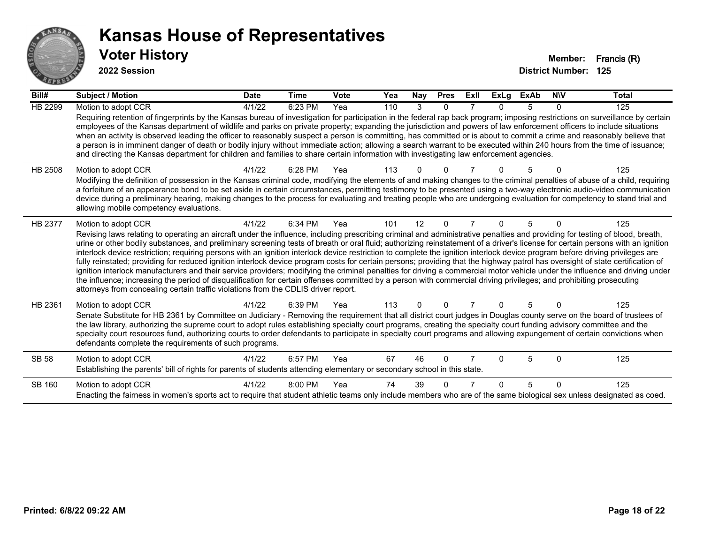

| Bill#          | <b>Subject / Motion</b>                                                                                                                                                                                                                                                                                                                                                                                                                                                                                                                                                                                                                                                                                                                                                                                                                                                                                                                                                                                                                                                                                                                                                                               | <b>Date</b> | <b>Time</b> | Vote | Yea | Nay      | <b>Pres</b> | ExII           | <b>ExLg</b> | <b>ExAb</b> | <b>NIV</b>   | <b>Total</b> |
|----------------|-------------------------------------------------------------------------------------------------------------------------------------------------------------------------------------------------------------------------------------------------------------------------------------------------------------------------------------------------------------------------------------------------------------------------------------------------------------------------------------------------------------------------------------------------------------------------------------------------------------------------------------------------------------------------------------------------------------------------------------------------------------------------------------------------------------------------------------------------------------------------------------------------------------------------------------------------------------------------------------------------------------------------------------------------------------------------------------------------------------------------------------------------------------------------------------------------------|-------------|-------------|------|-----|----------|-------------|----------------|-------------|-------------|--------------|--------------|
| <b>HB 2299</b> | Motion to adopt CCR<br>Requiring retention of fingerprints by the Kansas bureau of investigation for participation in the federal rap back program; imposing restrictions on surveillance by certain<br>employees of the Kansas department of wildlife and parks on private property; expanding the jurisdiction and powers of law enforcement officers to include situations<br>when an activity is observed leading the officer to reasonably suspect a person is committing, has committed or is about to commit a crime and reasonably believe that<br>a person is in imminent danger of death or bodily injury without immediate action; allowing a search warrant to be executed within 240 hours from the time of issuance;<br>and directing the Kansas department for children and families to share certain information with investigating law enforcement agencies.                                                                                                                                                                                                                                                                                                                         | 4/1/22      | 6:23 PM     | Yea  | 110 | 3        | $\Omega$    | 7              | 0           | 5           | $\Omega$     | 125          |
| HB 2508        | Motion to adopt CCR<br>Modifying the definition of possession in the Kansas criminal code, modifying the elements of and making changes to the criminal penalties of abuse of a child, requiring<br>a forfeiture of an appearance bond to be set aside in certain circumstances, permitting testimony to be presented using a two-way electronic audio-video communication<br>device during a preliminary hearing, making changes to the process for evaluating and treating people who are undergoing evaluation for competency to stand trial and<br>allowing mobile competency evaluations.                                                                                                                                                                                                                                                                                                                                                                                                                                                                                                                                                                                                        | 4/1/22      | 6:28 PM     | Yea  | 113 |          |             |                |             |             |              | 125          |
| HB 2377        | Motion to adopt CCR<br>Revising laws relating to operating an aircraft under the influence, including prescribing criminal and administrative penalties and providing for testing of blood, breath,<br>urine or other bodily substances, and preliminary screening tests of breath or oral fluid; authorizing reinstatement of a driver's license for certain persons with an ignition<br>interlock device restriction; requiring persons with an ignition interlock device restriction to complete the ignition interlock device program before driving privileges are<br>fully reinstated; providing for reduced ignition interlock device program costs for certain persons; providing that the highway patrol has oversight of state certification of<br>ignition interlock manufacturers and their service providers; modifying the criminal penalties for driving a commercial motor vehicle under the influence and driving under<br>the influence; increasing the period of disqualification for certain offenses committed by a person with commercial driving privileges; and prohibiting prosecuting<br>attorneys from concealing certain traffic violations from the CDLIS driver report. | 4/1/22      | 6:34 PM     | Yea  | 101 | 12       | $\Omega$    | $\overline{7}$ | 0           | 5           | 0            | 125          |
| HB 2361        | Motion to adopt CCR<br>Senate Substitute for HB 2361 by Committee on Judiciary - Removing the requirement that all district court judges in Douglas county serve on the board of trustees of<br>the law library, authorizing the supreme court to adopt rules establishing specialty court programs, creating the specialty court funding advisory committee and the<br>specialty court resources fund, authorizing courts to order defendants to participate in specialty court programs and allowing expungement of certain convictions when<br>defendants complete the requirements of such programs.                                                                                                                                                                                                                                                                                                                                                                                                                                                                                                                                                                                              | 4/1/22      | 6:39 PM     | Yea  | 113 | $\Omega$ | $\Omega$    |                | 0           | 5           | $\Omega$     | 125          |
| <b>SB 58</b>   | Motion to adopt CCR<br>Establishing the parents' bill of rights for parents of students attending elementary or secondary school in this state.                                                                                                                                                                                                                                                                                                                                                                                                                                                                                                                                                                                                                                                                                                                                                                                                                                                                                                                                                                                                                                                       | 4/1/22      | 6:57 PM     | Yea  | 67  | 46       | $\Omega$    |                | U           | 5           | <sup>0</sup> | 125          |
| SB 160         | Motion to adopt CCR<br>Enacting the fairness in women's sports act to require that student athletic teams only include members who are of the same biological sex unless designated as coed.                                                                                                                                                                                                                                                                                                                                                                                                                                                                                                                                                                                                                                                                                                                                                                                                                                                                                                                                                                                                          | 4/1/22      | 8:00 PM     | Yea  | 74  | 39       | $\Omega$    |                | U           | 5           | $\Omega$     | 125          |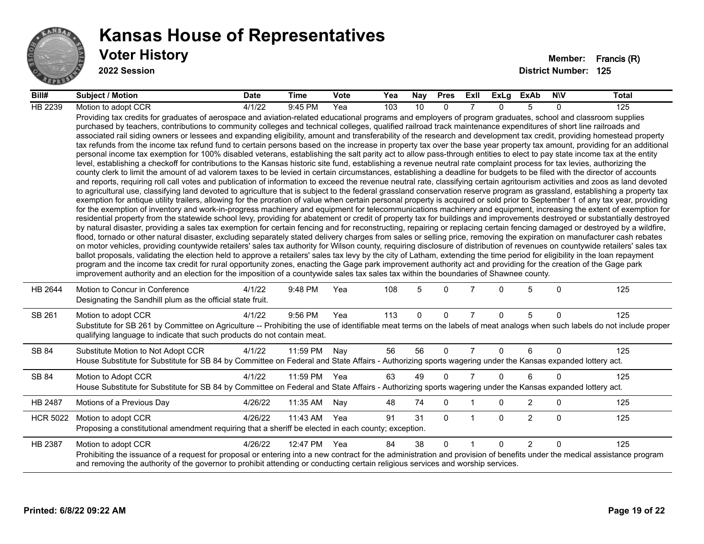

| Bill#           | Subject / Motion                                                                                                                                                                                                                                                                                                                                                                                                                                                                                                                                                                                                                                                                                                                                                                                                                                                                                                                                                                                                                                                                                                                                                                                                                                                                                                                                                                                                                                                                                                                                                                                                                                                                                                                                                                                                                                                                                                                                                                                                                                                                                                                                                                                                                                                                                                                                                                                                                                                                                                                                                                                                                                                                                                                                                                                                                                                                                                                                                                                                                                                                                                                                                            | <b>Date</b> | Time         | <b>Vote</b> | Yea | Nay | <b>Pres</b>  | ExII           | ExLg         | ExAb           | <b>NIV</b>  | Total |
|-----------------|-----------------------------------------------------------------------------------------------------------------------------------------------------------------------------------------------------------------------------------------------------------------------------------------------------------------------------------------------------------------------------------------------------------------------------------------------------------------------------------------------------------------------------------------------------------------------------------------------------------------------------------------------------------------------------------------------------------------------------------------------------------------------------------------------------------------------------------------------------------------------------------------------------------------------------------------------------------------------------------------------------------------------------------------------------------------------------------------------------------------------------------------------------------------------------------------------------------------------------------------------------------------------------------------------------------------------------------------------------------------------------------------------------------------------------------------------------------------------------------------------------------------------------------------------------------------------------------------------------------------------------------------------------------------------------------------------------------------------------------------------------------------------------------------------------------------------------------------------------------------------------------------------------------------------------------------------------------------------------------------------------------------------------------------------------------------------------------------------------------------------------------------------------------------------------------------------------------------------------------------------------------------------------------------------------------------------------------------------------------------------------------------------------------------------------------------------------------------------------------------------------------------------------------------------------------------------------------------------------------------------------------------------------------------------------------------------------------------------------------------------------------------------------------------------------------------------------------------------------------------------------------------------------------------------------------------------------------------------------------------------------------------------------------------------------------------------------------------------------------------------------------------------------------------------------|-------------|--------------|-------------|-----|-----|--------------|----------------|--------------|----------------|-------------|-------|
| HB 2239         | Motion to adopt CCR                                                                                                                                                                                                                                                                                                                                                                                                                                                                                                                                                                                                                                                                                                                                                                                                                                                                                                                                                                                                                                                                                                                                                                                                                                                                                                                                                                                                                                                                                                                                                                                                                                                                                                                                                                                                                                                                                                                                                                                                                                                                                                                                                                                                                                                                                                                                                                                                                                                                                                                                                                                                                                                                                                                                                                                                                                                                                                                                                                                                                                                                                                                                                         | 4/1/22      | 9:45 PM      | Yea         | 103 | 10  | $\Omega$     |                | <sup>n</sup> | 5              | $\Omega$    | 125   |
|                 | Providing tax credits for graduates of aerospace and aviation-related educational programs and employers of program graduates, school and classroom supplies<br>purchased by teachers, contributions to community colleges and technical colleges, qualified railroad track maintenance expenditures of short line railroads and<br>associated rail siding owners or lessees and expanding eligibility, amount and transferability of the research and development tax credit, providing homestead property<br>tax refunds from the income tax refund fund to certain persons based on the increase in property tax over the base year property tax amount, providing for an additional<br>personal income tax exemption for 100% disabled veterans, establishing the salt parity act to allow pass-through entities to elect to pay state income tax at the entity<br>level, establishing a checkoff for contributions to the Kansas historic site fund, establishing a revenue neutral rate complaint process for tax levies, authorizing the<br>county clerk to limit the amount of ad valorem taxes to be levied in certain circumstances, establishing a deadline for budgets to be filed with the director of accounts<br>and reports, requiring roll call votes and publication of information to exceed the revenue neutral rate, classifying certain agritourism activities and zoos as land devoted<br>to agricultural use, classifying land devoted to agriculture that is subject to the federal grassland conservation reserve program as grassland, establishing a property tax<br>exemption for antique utility trailers, allowing for the proration of value when certain personal property is acquired or sold prior to September 1 of any tax year, providing<br>for the exemption of inventory and work-in-progress machinery and equipment for telecommunications machinery and equipment, increasing the extent of exemption for<br>residential property from the statewide school levy, providing for abatement or credit of property tax for buildings and improvements destroyed or substantially destroyed<br>by natural disaster, providing a sales tax exemption for certain fencing and for reconstructing, repairing or replacing certain fencing damaged or destroyed by a wildfire,<br>flood, tornado or other natural disaster, excluding separately stated delivery charges from sales or selling price, removing the expiration on manufacturer cash rebates<br>on motor vehicles, providing countywide retailers' sales tax authority for Wilson county, requiring disclosure of distribution of revenues on countywide retailers' sales tax<br>ballot proposals, validating the election held to approve a retailers' sales tax levy by the city of Latham, extending the time period for eligibility in the loan repayment<br>program and the income tax credit for rural opportunity zones, enacting the Gage park improvement authority act and providing for the creation of the Gage park<br>improvement authority and an election for the imposition of a countywide sales tax sales tax within the boundaries of Shawnee county. |             |              |             |     |     |              |                |              |                |             |       |
| HB 2644         | Motion to Concur in Conference<br>Designating the Sandhill plum as the official state fruit.                                                                                                                                                                                                                                                                                                                                                                                                                                                                                                                                                                                                                                                                                                                                                                                                                                                                                                                                                                                                                                                                                                                                                                                                                                                                                                                                                                                                                                                                                                                                                                                                                                                                                                                                                                                                                                                                                                                                                                                                                                                                                                                                                                                                                                                                                                                                                                                                                                                                                                                                                                                                                                                                                                                                                                                                                                                                                                                                                                                                                                                                                | 4/1/22      | 9:48 PM      | Yea         | 108 | 5   | $\Omega$     | $\overline{7}$ | $\Omega$     | 5              | $\Omega$    | 125   |
| SB 261          | Motion to adopt CCR<br>Substitute for SB 261 by Committee on Agriculture -- Prohibiting the use of identifiable meat terms on the labels of meat analogs when such labels do not include proper<br>qualifying language to indicate that such products do not contain meat.                                                                                                                                                                                                                                                                                                                                                                                                                                                                                                                                                                                                                                                                                                                                                                                                                                                                                                                                                                                                                                                                                                                                                                                                                                                                                                                                                                                                                                                                                                                                                                                                                                                                                                                                                                                                                                                                                                                                                                                                                                                                                                                                                                                                                                                                                                                                                                                                                                                                                                                                                                                                                                                                                                                                                                                                                                                                                                  | 4/1/22      | 9:56 PM      | Yea         | 113 | 0   | $\mathbf 0$  | $\overline{7}$ | $\Omega$     | 5              | $\Omega$    | 125   |
| SB 84           | Substitute Motion to Not Adopt CCR<br>House Substitute for Substitute for SB 84 by Committee on Federal and State Affairs - Authorizing sports wagering under the Kansas expanded lottery act.                                                                                                                                                                                                                                                                                                                                                                                                                                                                                                                                                                                                                                                                                                                                                                                                                                                                                                                                                                                                                                                                                                                                                                                                                                                                                                                                                                                                                                                                                                                                                                                                                                                                                                                                                                                                                                                                                                                                                                                                                                                                                                                                                                                                                                                                                                                                                                                                                                                                                                                                                                                                                                                                                                                                                                                                                                                                                                                                                                              | 4/1/22      | 11:59 PM     | Nay         | 56  | 56  | $\Omega$     | $\overline{7}$ | $\Omega$     | 6              | $\Omega$    | 125   |
| SB 84           | Motion to Adopt CCR<br>House Substitute for Substitute for SB 84 by Committee on Federal and State Affairs - Authorizing sports wagering under the Kansas expanded lottery act.                                                                                                                                                                                                                                                                                                                                                                                                                                                                                                                                                                                                                                                                                                                                                                                                                                                                                                                                                                                                                                                                                                                                                                                                                                                                                                                                                                                                                                                                                                                                                                                                                                                                                                                                                                                                                                                                                                                                                                                                                                                                                                                                                                                                                                                                                                                                                                                                                                                                                                                                                                                                                                                                                                                                                                                                                                                                                                                                                                                             | 4/1/22      | 11:59 PM Yea |             | 63  | 49  | $\Omega$     | $\overline{7}$ | $\Omega$     | 6              | $\Omega$    | 125   |
| HB 2487         | Motions of a Previous Day                                                                                                                                                                                                                                                                                                                                                                                                                                                                                                                                                                                                                                                                                                                                                                                                                                                                                                                                                                                                                                                                                                                                                                                                                                                                                                                                                                                                                                                                                                                                                                                                                                                                                                                                                                                                                                                                                                                                                                                                                                                                                                                                                                                                                                                                                                                                                                                                                                                                                                                                                                                                                                                                                                                                                                                                                                                                                                                                                                                                                                                                                                                                                   | 4/26/22     | 11:35 AM     | Nay         | 48  | 74  | $\mathbf 0$  |                | $\Omega$     | $\overline{2}$ | $\mathbf 0$ | 125   |
| <b>HCR 5022</b> | Motion to adopt CCR<br>Proposing a constitutional amendment requiring that a sheriff be elected in each county; exception.                                                                                                                                                                                                                                                                                                                                                                                                                                                                                                                                                                                                                                                                                                                                                                                                                                                                                                                                                                                                                                                                                                                                                                                                                                                                                                                                                                                                                                                                                                                                                                                                                                                                                                                                                                                                                                                                                                                                                                                                                                                                                                                                                                                                                                                                                                                                                                                                                                                                                                                                                                                                                                                                                                                                                                                                                                                                                                                                                                                                                                                  | 4/26/22     | 11:43 AM     | Yea         | 91  | 31  | $\mathbf{0}$ |                | $\Omega$     | $\overline{2}$ | $\mathbf 0$ | 125   |
| HB 2387         | Motion to adopt CCR<br>Prohibiting the issuance of a request for proposal or entering into a new contract for the administration and provision of benefits under the medical assistance program<br>and removing the authority of the governor to prohibit attending or conducting certain religious services and worship services.                                                                                                                                                                                                                                                                                                                                                                                                                                                                                                                                                                                                                                                                                                                                                                                                                                                                                                                                                                                                                                                                                                                                                                                                                                                                                                                                                                                                                                                                                                                                                                                                                                                                                                                                                                                                                                                                                                                                                                                                                                                                                                                                                                                                                                                                                                                                                                                                                                                                                                                                                                                                                                                                                                                                                                                                                                          | 4/26/22     | 12:47 PM     | Yea         | 84  | 38  | $\Omega$     |                | $\Omega$     | $\overline{2}$ | $\Omega$    | 125   |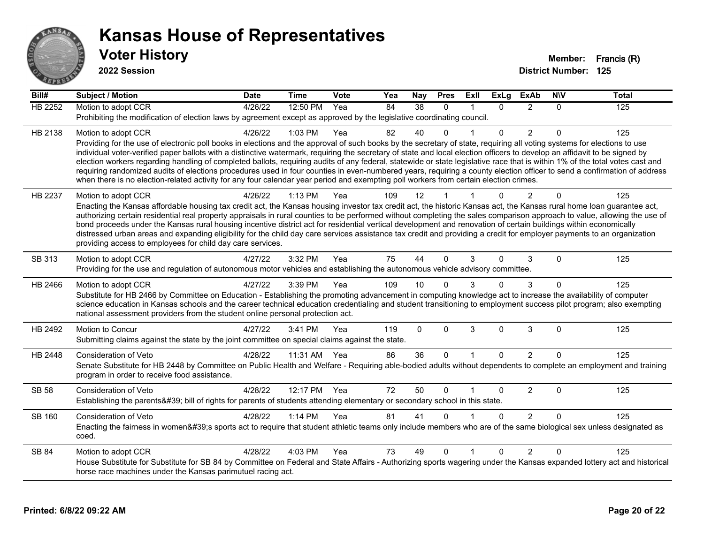

| $\overline{BiII#}$ | <b>Subject / Motion</b>                                                                                                                                                                                                                                                                                                                               | <b>Date</b> | <b>Time</b> | Vote | Yea | Nay             | <b>Pres</b>  | ExIl        | <b>ExLg</b> | <b>ExAb</b>    | <b>NIV</b> | <b>Total</b> |
|--------------------|-------------------------------------------------------------------------------------------------------------------------------------------------------------------------------------------------------------------------------------------------------------------------------------------------------------------------------------------------------|-------------|-------------|------|-----|-----------------|--------------|-------------|-------------|----------------|------------|--------------|
| <b>HB 2252</b>     | Motion to adopt CCR                                                                                                                                                                                                                                                                                                                                   | 4/26/22     | 12:50 PM    | Yea  | 84  | $\overline{38}$ | $\Omega$     | 1           | $\Omega$    | $\mathcal{P}$  | $\Omega$   | 125          |
|                    | Prohibiting the modification of election laws by agreement except as approved by the legislative coordinating council.                                                                                                                                                                                                                                |             |             |      |     |                 |              |             |             |                |            |              |
| HB 2138            | Motion to adopt CCR                                                                                                                                                                                                                                                                                                                                   | 4/26/22     | 1:03 PM     | Yea  | 82  | 40              | $\Omega$     |             | $\Omega$    | $\overline{2}$ | $\Omega$   | 125          |
|                    | Providing for the use of electronic poll books in elections and the approval of such books by the secretary of state, requiring all voting systems for elections to use<br>individual voter-verified paper ballots with a distinctive watermark, requiring the secretary of state and local election officers to develop an affidavit to be signed by |             |             |      |     |                 |              |             |             |                |            |              |
|                    | election workers regarding handling of completed ballots, requiring audits of any federal, statewide or state legislative race that is within 1% of the total votes cast and                                                                                                                                                                          |             |             |      |     |                 |              |             |             |                |            |              |
|                    | requiring randomized audits of elections procedures used in four counties in even-numbered years, requiring a county election officer to send a confirmation of address                                                                                                                                                                               |             |             |      |     |                 |              |             |             |                |            |              |
|                    | when there is no election-related activity for any four calendar year period and exempting poll workers from certain election crimes.                                                                                                                                                                                                                 |             |             |      |     |                 |              |             |             |                |            |              |
| HB 2237            | Motion to adopt CCR                                                                                                                                                                                                                                                                                                                                   | 4/26/22     | 1:13 PM     | Yea  | 109 | 12              |              |             | $\Omega$    | $\overline{2}$ | $\Omega$   | 125          |
|                    | Enacting the Kansas affordable housing tax credit act, the Kansas housing investor tax credit act, the historic Kansas act, the Kansas rural home loan guarantee act,<br>authorizing certain residential real property appraisals in rural counties to be performed without completing the sales comparison approach to value, allowing the use of    |             |             |      |     |                 |              |             |             |                |            |              |
|                    | bond proceeds under the Kansas rural housing incentive district act for residential vertical development and renovation of certain buildings within economically                                                                                                                                                                                      |             |             |      |     |                 |              |             |             |                |            |              |
|                    | distressed urban areas and expanding eligibility for the child day care services assistance tax credit and providing a credit for employer payments to an organization                                                                                                                                                                                |             |             |      |     |                 |              |             |             |                |            |              |
|                    | providing access to employees for child day care services.                                                                                                                                                                                                                                                                                            |             |             |      |     |                 |              |             |             |                |            |              |
| SB 313             | Motion to adopt CCR                                                                                                                                                                                                                                                                                                                                   | 4/27/22     | 3:32 PM     | Yea  | 75  | 44              | $\Omega$     | 3           | $\Omega$    | 3              | $\Omega$   | 125          |
|                    | Providing for the use and regulation of autonomous motor vehicles and establishing the autonomous vehicle advisory committee.                                                                                                                                                                                                                         |             |             |      |     |                 |              |             |             |                |            |              |
| HB 2466            | Motion to adopt CCR                                                                                                                                                                                                                                                                                                                                   | 4/27/22     | 3:39 PM     | Yea  | 109 | 10              | $\Omega$     | 3           | 0           | 3              | $\Omega$   | 125          |
|                    | Substitute for HB 2466 by Committee on Education - Establishing the promoting advancement in computing knowledge act to increase the availability of computer<br>science education in Kansas schools and the career technical education credentialing and student transitioning to employment success pilot program; also exempting                   |             |             |      |     |                 |              |             |             |                |            |              |
|                    | national assessment providers from the student online personal protection act.                                                                                                                                                                                                                                                                        |             |             |      |     |                 |              |             |             |                |            |              |
| HB 2492            | Motion to Concur                                                                                                                                                                                                                                                                                                                                      | 4/27/22     | 3:41 PM     | Yea  | 119 | $\mathbf{0}$    | $\mathbf{0}$ | 3           | 0           | $\sqrt{3}$     | $\Omega$   | 125          |
|                    | Submitting claims against the state by the joint committee on special claims against the state.                                                                                                                                                                                                                                                       |             |             |      |     |                 |              |             |             |                |            |              |
| HB 2448            | Consideration of Veto                                                                                                                                                                                                                                                                                                                                 | 4/28/22     | 11:31 AM    | Yea  | 86  | 36              | $\Omega$     | $\mathbf 1$ | $\Omega$    | $\mathcal{P}$  | $\Omega$   | 125          |
|                    | Senate Substitute for HB 2448 by Committee on Public Health and Welfare - Requiring able-bodied adults without dependents to complete an employment and training                                                                                                                                                                                      |             |             |      |     |                 |              |             |             |                |            |              |
|                    | program in order to receive food assistance.                                                                                                                                                                                                                                                                                                          |             |             |      |     |                 |              |             |             |                |            |              |
| <b>SB 58</b>       | Consideration of Veto                                                                                                                                                                                                                                                                                                                                 | 4/28/22     | 12:17 PM    | Yea  | 72  | 50              | $\Omega$     | 1           | 0           | $\overline{c}$ | $\Omega$   | 125          |
|                    | Establishing the parents' bill of rights for parents of students attending elementary or secondary school in this state.                                                                                                                                                                                                                              |             |             |      |     |                 |              |             |             |                |            |              |
| SB 160             | Consideration of Veto                                                                                                                                                                                                                                                                                                                                 | 4/28/22     | $1:14$ PM   | Yea  | 81  | 41              | $\Omega$     |             | $\Omega$    | $\mathcal{P}$  | $\Omega$   | 125          |
|                    | Enacting the fairness in women's sports act to require that student athletic teams only include members who are of the same biological sex unless designated as<br>coed.                                                                                                                                                                              |             |             |      |     |                 |              |             |             |                |            |              |
|                    |                                                                                                                                                                                                                                                                                                                                                       |             |             |      |     |                 |              |             |             |                |            |              |
| SB 84              | Motion to adopt CCR<br>House Substitute for Substitute for SB 84 by Committee on Federal and State Affairs - Authorizing sports wagering under the Kansas expanded lottery act and historical                                                                                                                                                         | 4/28/22     | 4:03 PM     | Yea  | 73  | 49              | $\mathbf{0}$ |             | 0           | $\overline{2}$ | $\Omega$   | 125          |
|                    | horse race machines under the Kansas parimutuel racing act.                                                                                                                                                                                                                                                                                           |             |             |      |     |                 |              |             |             |                |            |              |
|                    |                                                                                                                                                                                                                                                                                                                                                       |             |             |      |     |                 |              |             |             |                |            |              |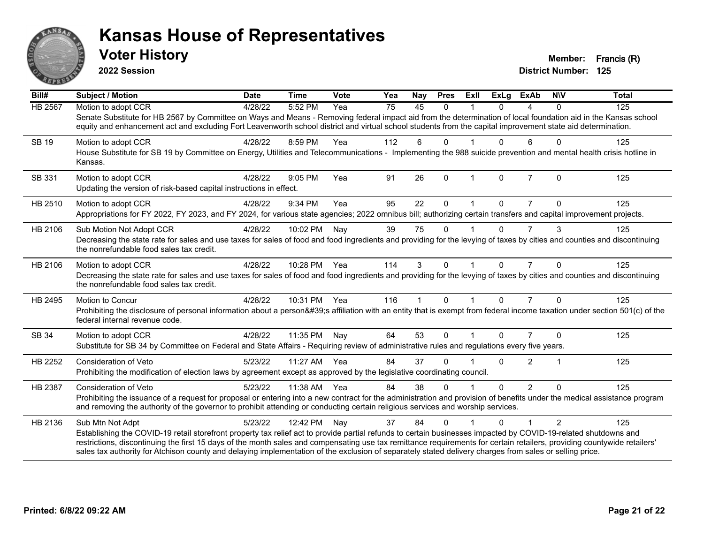

**2022 Session**

**District Number: 125 Voter History Member: Francis (R)**

| $\overline{Bill#}$ | Subject / Motion                                                                                                                                                                                                                                                                                                                                                                                                                                                                                                           | <b>Date</b> | <b>Time</b>  | Vote | Yea             | Nay          | <b>Pres</b>  | ExII                 | <b>ExLg</b> | <b>ExAb</b>    | <b>NIV</b> | <b>Total</b> |
|--------------------|----------------------------------------------------------------------------------------------------------------------------------------------------------------------------------------------------------------------------------------------------------------------------------------------------------------------------------------------------------------------------------------------------------------------------------------------------------------------------------------------------------------------------|-------------|--------------|------|-----------------|--------------|--------------|----------------------|-------------|----------------|------------|--------------|
| <b>HB 2567</b>     | Motion to adopt CCR<br>Senate Substitute for HB 2567 by Committee on Ways and Means - Removing federal impact aid from the determination of local foundation aid in the Kansas school<br>equity and enhancement act and excluding Fort Leavenworth school district and virtual school students from the capital improvement state aid determination.                                                                                                                                                                       | 4/28/22     | 5:52 PM      | Yea  | $\overline{75}$ | 45           | $\Omega$     |                      | $\Omega$    | 4              | $\Omega$   | 125          |
| <b>SB 19</b>       | Motion to adopt CCR<br>House Substitute for SB 19 by Committee on Energy, Utilities and Telecommunications - Implementing the 988 suicide prevention and mental health crisis hotline in<br>Kansas.                                                                                                                                                                                                                                                                                                                        | 4/28/22     | 8:59 PM      | Yea  | 112             | 6            | $\Omega$     |                      | $\Omega$    | 6              | $\Omega$   | 125          |
| SB 331             | Motion to adopt CCR<br>Updating the version of risk-based capital instructions in effect.                                                                                                                                                                                                                                                                                                                                                                                                                                  | 4/28/22     | 9:05 PM      | Yea  | 91              | 26           | $\Omega$     | $\mathbf{1}$         | $\Omega$    | $\overline{7}$ | $\Omega$   | 125          |
| HB 2510            | Motion to adopt CCR<br>Appropriations for FY 2022, FY 2023, and FY 2024, for various state agencies; 2022 omnibus bill; authorizing certain transfers and capital improvement projects.                                                                                                                                                                                                                                                                                                                                    | 4/28/22     | 9:34 PM      | Yea  | 95              | 22           | $\mathbf{0}$ |                      | $\Omega$    | 7              | $\Omega$   | 125          |
| HB 2106            | Sub Motion Not Adopt CCR<br>Decreasing the state rate for sales and use taxes for sales of food and food ingredients and providing for the levying of taxes by cities and counties and discontinuing<br>the nonrefundable food sales tax credit.                                                                                                                                                                                                                                                                           | 4/28/22     | 10:02 PM     | Nay  | 39              | 75           | $\mathbf{0}$ |                      | $\Omega$    | 7              | 3          | 125          |
| HB 2106            | Motion to adopt CCR<br>Decreasing the state rate for sales and use taxes for sales of food and food ingredients and providing for the levying of taxes by cities and counties and discontinuing<br>the nonrefundable food sales tax credit.                                                                                                                                                                                                                                                                                | 4/28/22     | 10:28 PM Yea |      | 114             | 3            | $\Omega$     | $\blacktriangleleft$ | $\Omega$    | $\overline{7}$ | $\Omega$   | 125          |
| HB 2495            | Motion to Concur<br>Prohibiting the disclosure of personal information about a person's affiliation with an entity that is exempt from federal income taxation under section 501(c) of the<br>federal internal revenue code.                                                                                                                                                                                                                                                                                               | 4/28/22     | 10:31 PM Yea |      | 116             | $\mathbf{1}$ | $\mathbf{0}$ | $\mathbf{1}$         | $\Omega$    | $\overline{7}$ | $\Omega$   | 125          |
| SB 34              | Motion to adopt CCR<br>Substitute for SB 34 by Committee on Federal and State Affairs - Requiring review of administrative rules and regulations every five years.                                                                                                                                                                                                                                                                                                                                                         | 4/28/22     | 11:35 PM     | Nay  | 64              | 53           | $\mathbf{0}$ |                      | $\Omega$    | $\overline{7}$ | $\Omega$   | 125          |
| HB 2252            | <b>Consideration of Veto</b><br>Prohibiting the modification of election laws by agreement except as approved by the legislative coordinating council.                                                                                                                                                                                                                                                                                                                                                                     | 5/23/22     | 11:27 AM     | Yea  | 84              | 37           | $\Omega$     |                      | 0           | 2              | 1          | 125          |
| HB 2387            | <b>Consideration of Veto</b><br>Prohibiting the issuance of a request for proposal or entering into a new contract for the administration and provision of benefits under the medical assistance program<br>and removing the authority of the governor to prohibit attending or conducting certain religious services and worship services.                                                                                                                                                                                | 5/23/22     | 11:38 AM     | Yea  | 84              | 38           | $\Omega$     |                      | $\Omega$    | $\overline{2}$ | $\Omega$   | 125          |
| HB 2136            | Sub Mtn Not Adpt<br>Establishing the COVID-19 retail storefront property tax relief act to provide partial refunds to certain businesses impacted by COVID-19-related shutdowns and<br>restrictions, discontinuing the first 15 days of the month sales and compensating use tax remittance requirements for certain retailers, providing countywide retailers'<br>sales tax authority for Atchison county and delaying implementation of the exclusion of separately stated delivery charges from sales or selling price. | 5/23/22     | 12:42 PM     | Nay  | 37              | 84           | $\Omega$     |                      | 0           |                | 2          | 125          |